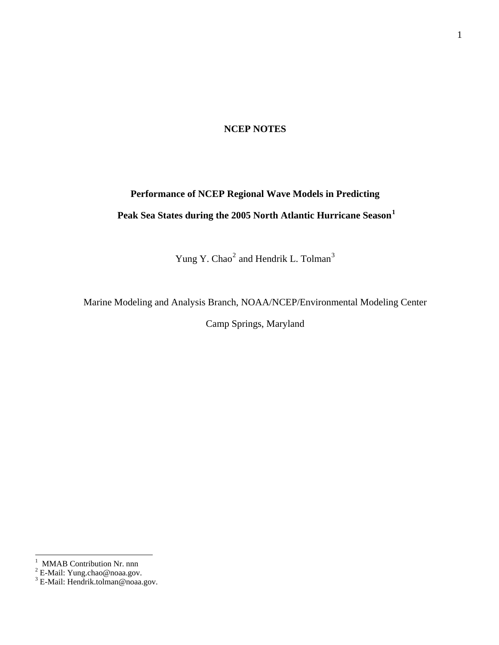### **NCEP NOTES**

# **Performance of NCEP Regional Wave Models in Predicting Peak Sea States during the 2005 North Atlantic Hurricane Season<sup>1</sup>**

Yung Y. Chao<sup>2</sup> and Hendrik L. Tolman<sup>3</sup>

Marine Modeling and Analysis Branch, NOAA/NCEP/Environmental Modeling Center

Camp Springs, Maryland

<sup>&</sup>lt;sup>1</sup> MMAB Contribution Nr. nnn<br><sup>2</sup> E-Mail: Yung.chao@noaa.gov.<br><sup>3</sup> E-Mail: Hendrik.tolman@noaa.gov.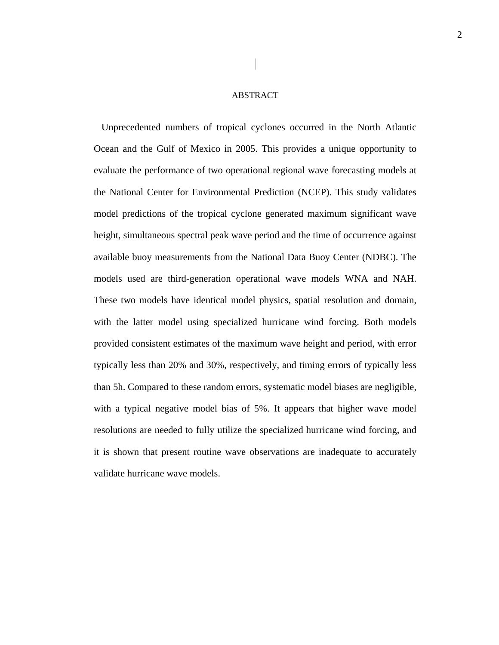### ABSTRACT

Unprecedented numbers of tropical cyclones occurred in the North Atlantic Ocean and the Gulf of Mexico in 2005. This provides a unique opportunity to evaluate the performance of two operational regional wave forecasting models at model predictions of the tropical cyclone generated maximum significant wave height, simultaneous spectral peak wave period and the time of occurrence against available buoy measurements from the National Data Buoy Center (NDBC). The models used are third-generation operational wave models WNA and NAH. These two models have identical model physics, spatial resolution and domain, with the latter model using specialized hurricane wind forcing. Both models provided consistent estimates of the maximum wave height and period, with error typically less than 20% and 30%, respectively, and timing errors of typically less than 5h. Compared to these random errors, systematic model biases are negligible, with a typical negative model bias of 5%. It appears that higher wave model resolutions are needed to fully utilize the specialized hurricane wind forcing, and it is shown that present routine wave observations are inadequate to accurately validate hurricane wave models. the National Center for Environmental Prediction (NCEP). This study validates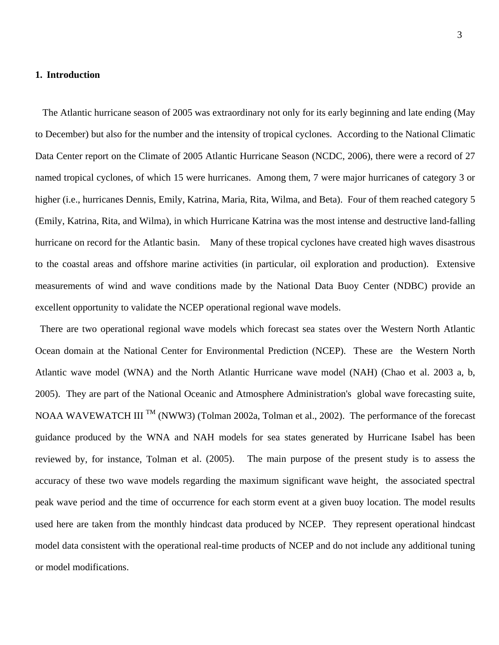### **1. Introduction**

The Atlantic hurricane season of 2005 was extraordinary not only for its early beginning and late ending (May to December) but also for the number and the intensity of tropical cyclones. According to the National Climatic Data Center report on the Climate of 2005 Atlantic Hurricane Season (NCDC, 2006), there were a record of 27 named tropical cyclones, of which 15 were hurricanes. Among them, 7 were major hurricanes of category 3 or higher (i.e., hurricanes Dennis, Emily, Katrina, Maria, Rita, Wilma, and Beta). Four of them reached category 5 (Emily, Katrina, Rita, and Wilma), in which Hurricane Katrina was the most intense and destructive land-falling hurricane on record for the Atlantic basin. Many of these tropical cyclones have created high waves disastrous to the coastal areas and offshore marine activities (in particular, oil exploration and production). Extensive measurements of wind and wave conditions made by the National Data Buoy Center (NDBC) provide an excellent opportunity to validate the NCEP operational regional wave models.

There are two operational regional wave models which forecast sea states over the Western North Atlantic Ocean domain at the National Center for Environmental Prediction (NCEP). These are the Western North 2005). They are part of the National Oceanic and Atmosphere Administration's global wave forecasting suite, NOAA WAVEWATCH III<sup>TM</sup> (NWW3) (Tolman 2002a, Tolman et al., 2002). The performance of the forecast guidance produced by the WNA and NAH models for sea states generated by Hurricane Isabel has been reviewed by, for instance, Tolman et al. (2005). The main purpose of the present study is to assess the accuracy of these two wave models regarding the maximum significant wave height, the associated spectral peak wave period and the time of occurrence for each storm event at a given buoy location. The model results used here are taken from the monthly hindcast data produced by NCEP. They represent operational hindcast model data consistent with the operational real-time products of NCEP and do not include any additional tuning or model modifications. Atlantic wave model (WNA) and the North Atlantic Hurricane wave model (NAH) (Chao et al. 2003 a, b,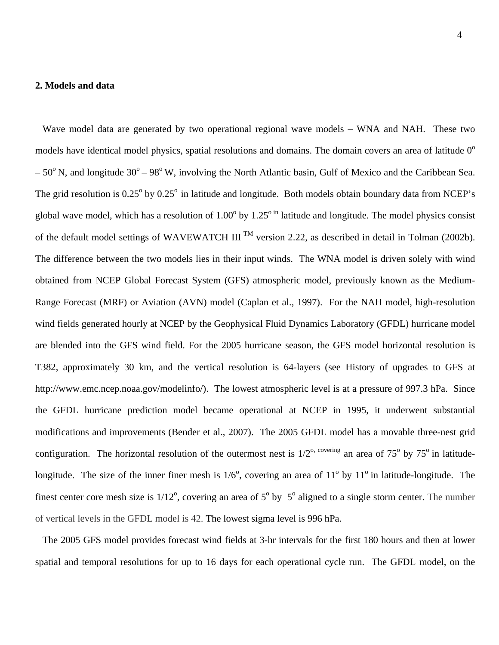#### **2. Models and data**

Wave model data are generated by two operational regional wave models – WNA and NAH. These two models have identical model physics, spatial resolutions and domains. The domain covers an area of latitude  $0^{\circ}$  $-50^{\circ}$  N, and longitude  $30^{\circ} - 98^{\circ}$  W, involving the North Atlantic basin, Gulf of Mexico and the Caribbean Sea. The grid resolution is  $0.25^{\circ}$  by  $0.25^{\circ}$  in latitude and longitude. Both models obtain boundary data from NCEP's global wave model, which has a resolution of  $1.00^{\circ}$  by  $1.25^{\circ}$  in latitude and longitude. The model physics consist of the default model settings of WAVEWATCH III<sup>TM</sup> version 2.22, as described in detail in Tolman (2002b). The difference between the two models lies in their input winds. The WNA model is driven solely with wind obtained from NCEP Global Forecast System (GFS) atmospheric model, previously known as the Medium- Range Forecast (MRF) or Aviation (AVN) model (Caplan et al., 1997). For the NAH model, high-resolution wind fields generated hourly at NCEP by the Geophysical Fluid Dynamics Laboratory (GFDL) hurricane model are blended into the GFS wind field. For the 2005 hurricane season, the GFS model horizontal resolution is T382, approximately 30 km, and the vertical resolution is 64-layers (see History of upgrades to GFS at http://www.emc.ncep.noaa.gov/modelinfo/). The lowest atmospheric level is at a pressure of 997.3 hPa. Since the GFDL hurricane prediction model became operational at NCEP in 1995, it underwent substantial modifications and improvements (Bender et al., 2007). The 2005 GFDL model has a movable three-nest grid configuration. The horizontal resolution of the outermost nest is  $1/2^{\circ}$ , covering an area of 75<sup>°</sup> by 75<sup>°</sup> in latitudelongitude. The size of the inner finer mesh is  $1/6^{\circ}$ , covering an area of  $11^{\circ}$  by  $11^{\circ}$  in latitude-longitude. The finest center core mesh size is  $1/12^{\circ}$ , covering an area of  $5^{\circ}$  by  $5^{\circ}$  aligned to a single storm center. The number of vertical levels in the GFDL model is 42. The lowest sigma level is 996 hPa.

 The 2005 GFS model provides forecast wind fields at 3-hr intervals for the first 180 hours and then at lower spatial and temporal resolutions for up to 16 days for each operational cycle run. The GFDL model, on the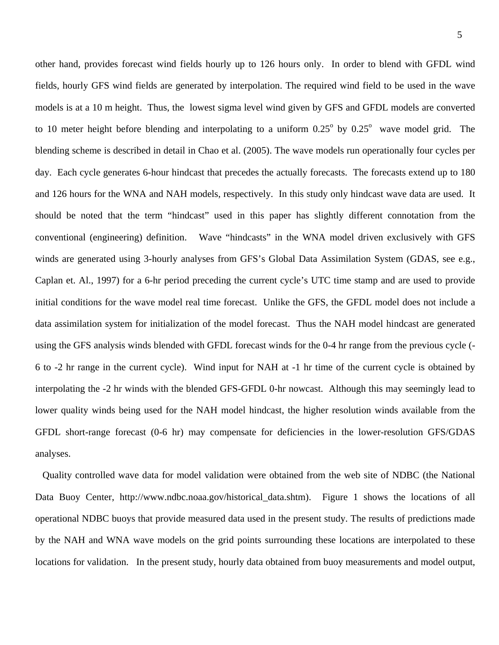other hand, provides forecast wind fields hourly up to 126 hours only. In order to blend with GFDL wind fields, hourly GFS wind fields are generated by interpolation. The required wind field to be used in the wave models is at a 10 m height. Thus, the lowest sigma level wind given by GFS and GFDL models are converted to 10 meter height before blending and interpolating to a uniform  $0.25^{\circ}$  by  $0.25^{\circ}$  wave model grid. The blending scheme is described in detail in Chao et al. (2005). The wave models run oper ationally four cycles per day. Each cycle generates 6-hour hindcast that precedes the actually forecasts. The for ecasts extend up to 180 and 126 hours for the WNA and NAH models, respectively. In this study only hindcast wa ve data are used. It should be noted that the term "hindcast" used in this paper has slightly different connotation from the conventional (engineering) definition. Wave "hindcasts" in the WNA model driven exclusively with GFS winds are generated using 3-hourly analyses from GFS's Global Data Assimilation S ystem (GDAS, see e.g., initial conditions for the wave model real time forecast. Unlike the GFS, the GFDL m odel does not include a data assimilation system for initialization of the model forecast. Thus the NAH mode l hindcast are generated using the GFS analysis winds blended with GFDL forecast winds for the 0-4 hr range fro m the previous cycle (- Caplan et. Al., 1997) for a 6-hr period preceding the current cycle's UTC time stamp and are used to provide 6 to -2 hr range in the current cycle). Wind input for NAH at -1 hr time of the current cycle is obtained by interpolating the -2 hr winds with the blended GFS-GFDL 0-hr nowcast. Although this may seemingly lead to lower quality winds being used for the NAH model hindcast, the higher resolution winds available from the GFDL short-range forecast (0-6 hr) may compensate for deficiencies in the lower-resolution GFS/GDAS analyses.

 Quality controlled wave data for model validation were obtained from the web site of NDBC (the National Data Buoy Center, http://www.ndbc.noaa.gov/historical\_data.shtm). Figure 1 shows the locations of all operational NDBC buoys that provide measured data used in the present study. The results of predictions made by the NAH and WNA wave models on the grid points surrounding these locations are interpolated to these locations for validation. In the present study, hourly data obtained from buoy measurements and model output,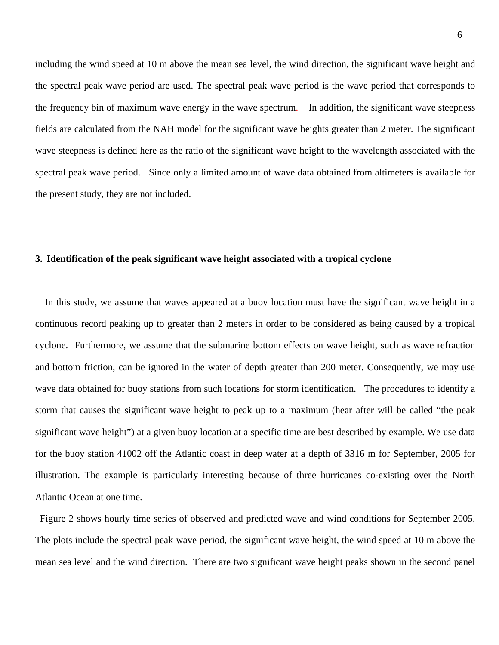including the wind speed at 10 m above the mean sea level, the wind direction, the significant wave height and the spectral peak wave period are used. The spectral peak wave period is the wave pe riod that corresponds to the frequency bin of maximum wave energy in the wave spectrum. In addition, the sig nificant wave steepness fields are calculated from the NAH model for the significant wave heights greater than 2 m eter. The significant wave steepness is defined here a s the ratio of the significant wave height to the wavelength associated with the spectral peak wave period. Since only a limited amount of wave data obtained from altimeters is available for the present study, they are not included.

### 3. Identification of the peak significant wave height associated with a tropical cyclone

In this study, we assume that waves appeared at a buoy location must have the significant wave height in a continuous record peaking up to greater than 2 meters in order to be considered as being caused by a tropical cyclone. Furthermore, we assume that the submarine bottom effects on wave height, such as wave refraction and bottom friction, can be ignored in the water of depth greater than 200 meter. Consequently, we may use wave data obtained for buoy stations from such locations for storm identification. The procedures to identify a storm that causes the significant wave height to peak up to a maximum (hear after will be called "the peak significant wave height") at a given buoy location at a specific time are best described by example. We use data for the buoy station 41002 off the Atlantic coast in deep water at a depth of 3316 m for September, 2005 for illustration. The example is particularly interesting because of three hurricanes co-existing over the North Atlantic Ocean at one time.

 Figure 2 shows hourly time series of observed and predicted wave and wind conditions for September 2005. The plots include the spectral peak wave period, the significant wave height, the wind speed at 10 m above the mean sea level and the wind direction. There are two significant wave height peaks shown in the second panel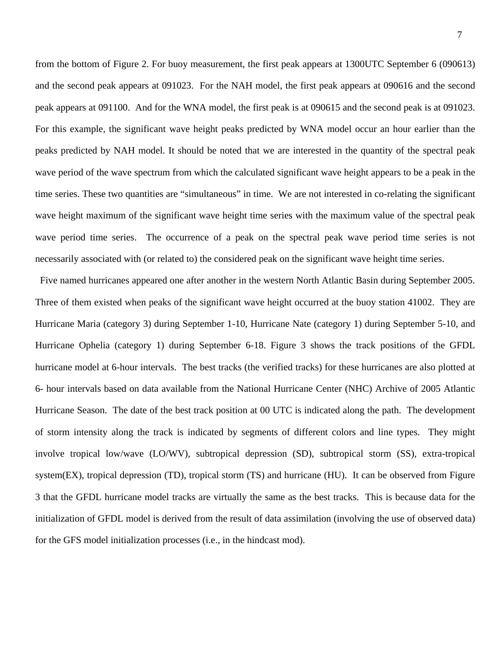from the bottom of Figure 2. For buoy measurement, the first peak appears at 1300UTC September 6 (090613) and the second peak appears at 091023. For the NAH model, the first peak appears at 090616 and the second peak appears at 091100. And for the WNA model, the first peak is at 090615 and the se cond peak is at 091023. For this example, the significant wave height peaks predicted by WNA model occur an hour earlier than the peaks predicted by NAH model. It should be noted that we are interested in the quan tity of the spectral peak wave period of the wave spectrum from which the calculated significant wave height ap pears to be a peak in the time series. These two quantities are "simultaneous" in time. We are not interested in co-re lating the significant wave height maximum of the significant wave height time series with the maximum value of the spectral peak wave period time series. The occurrence of a peak on the spectral peak wave period time series is not necessarily associated with (or related to) the considered peak on the significant wave height time series.

Five named hurricanes appeared one after another in the western North Atlantic Basin during September 2005. Three of them existed when peaks of the significant wave height occurred at the buoy station 41002. They are Hurricane Maria (category 3) during September 1-10, Hurricane Nate (category 1) during September 5-10, and Hurricane Ophelia (category 1) during September 6-18. Figure 3 shows the track positions of the GFDL hurricane model at 6-hour intervals. The best tracks (the verified tracks) for these hurricanes are also plotted at 6- hour intervals based on data available from the National Hurricane Center (NHC) Archive of 2005 Atlantic Hurricane Season. The date of the best track position at 00 UTC is indicated along the path. The development of storm intensity along the track is indicated by segments of different colors and line types. They might involve tropical low/wave (LO/WV), subtropical depression (SD), subtropical storm (SS), extra-tropical system(EX), tropical depression (TD), tropical storm (TS) and hurricane (HU). It can be observed from Figure 3 that the GFDL hurricane model tracks are virtually the same as the best tracks. This is because data for the initialization of GFDL model is derived from the result of data assimilation (involving the use of observed data) for the GFS model initialization processes (i.e., in the hindcast mod).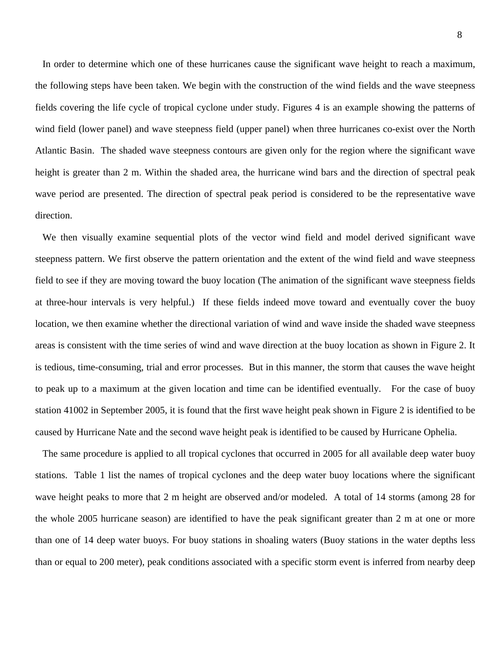In order to determine which one of these hurricanes cause the significant wave height to reach a maximum, the following steps have been taken. We begin with the construction of the wind fields and the wave steepness fields covering the life cycle of tropical cyclone under study. Figures 4 is an example showing the patterns of wind field (lower panel) and wave steepness field (upper panel) when three hurricanes co-exist over the N orth Atlantic Basin. The shaded wave steepness contours are given only for the region wh ere the significant wave height is greater than 2 m. Within the shaded area, the hurricane wind bars and the direction of spectral peak wave period are presented. The direction of spectral peak period is considered to be the representative wave direction.

We then visually examine sequential plots of the vector wind field and model derived significant wave steepness pattern. We first observe the pattern orientation and the extent of the wind field and wave steepness field to see if they are moving toward the buoy location (The animation of the significant wave steepness fields at three-hour intervals is very helpful.) If these fields indeed move toward and eventually cover the buoy location, we then examine whether the directional variation of wind and wave inside the shaded wave steepness areas is consistent with the time series of wind and wave direction at the buoy location as shown in Figure 2. It is tedious, time-consuming, trial and error processes. But in this manner, the storm that causes the wave height to peak up to a maximum at the given location and time can be identified eventually. For the case of buoy station 41002 in September 2005, it is found that the first wave height peak shown in Figure 2 is identified to be caused by Hurricane Nate and the second wave height peak is identified to be caused by Hurricane Ophelia.

 The same procedure is applied to all tropical cyclones that occurred in 2005 for all available deep water buoy stations. Table 1 list the names of tropical cyclones and the deep water buoy locations where the significant wave height peaks to more that 2 m height are observed and/or modeled. A total of 14 storms (among 28 for the whole 2005 hurricane season) are identified to have the peak significant greater than 2 m at one or more than one of 14 deep water buoys. For buoy stations in shoaling waters (Buoy stations in the water depths less than or equal to 200 meter), peak conditions associated with a specific storm event is inferred from nearby deep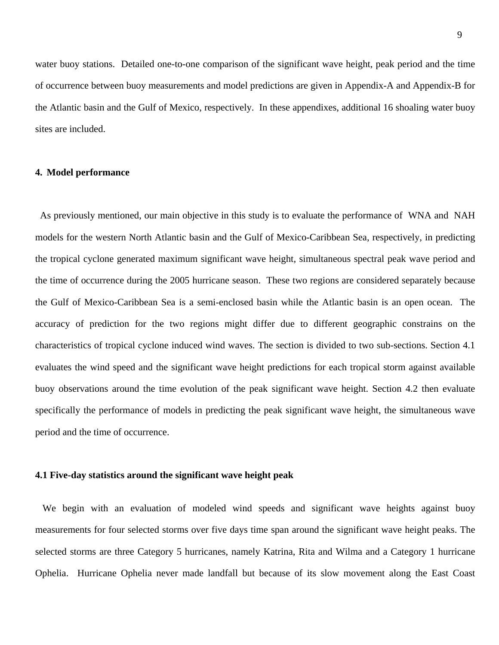water buoy stations. Detailed one-to-one comparison of the significant wave height, p eak period and the time of occurrence between buoy measurements and model predictions are given in Appendix -A and Appendix-B for the Atlantic b asin and the Gulf of Mexico, respectively. In these appendixes, additional 16 shoaling water buoy sites are included.

### **4. Model performance**

As previously mentioned, our main objective in this study is to evaluate the performance of WNA and NAH models for the western North Atlantic basin and the Gulf of Mexico-Caribbean Sea, respectively, in predicting the tropical cyclone generated maximum significant wave height, simultaneous spectral peak wave period and the time of occurrence during the 2005 hurricane season. These two regions are considered separately because the Gulf of Mexico-Caribbean Sea is a semi-enclosed basin while the Atlantic basin is an open ocean. The accuracy of prediction for the two regions might differ due to different geographic constrains on the characteristics of tropical cyclone induced wind waves. The section is divided to two sub-sections. Section 4.1 evaluates the wind speed and the significant wave height predictions for each tropical storm against available buoy observations around the time evolution of the peak significant wave height. Section 4.2 then evaluate specifically the performance of models in predicting the peak significant wave height, the simultaneous wave period and the time of occurrence.

### **4.1 Five-day statistics around the significant wave height peak**

 We begin with an evaluation of modeled wind speeds and significant wave heights against buoy measurements for four selected storms over five days time span around the significant wave height peaks. The selected storms are three Category 5 hurricanes, namely Katrina, Rita and Wilma and a Category 1 hurricane Ophelia. Hurricane Ophelia never made landfall but because of its slow movement along the East Coast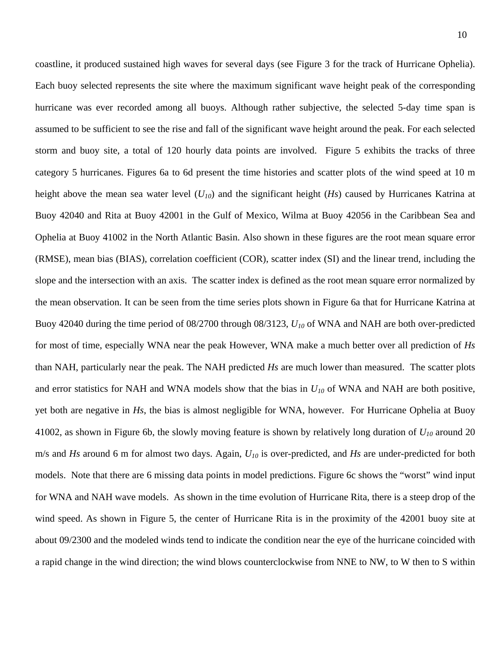coastline, it produced sustained high waves for several days (see Figure 3 for the track of Hurricane Ophelia). Each buoy selected represents the site where the maximum significant wave height pe ak of the corresponding hurricane was ever recorded among all buoys. Although rather subjective, the selected 5-day time span is assumed to be sufficient to see the rise and fall of the significant wave height around the peak. For each selected storm and buoy site, a total of 120 hourly data points are involved. Figure 5 exhi bits the tracks of three category 5 hurricanes. Figures 6a to 6d present the time histories and scatter plots of the wind speed at 10 m height above the mean sea water level  $(U_{10})$  and the significant height  $(Hs)$  caused by Hurricanes Katrina at Buoy 42040 and Rita at Buoy 42001 in the Gulf of Mexico, Wilma at Buoy 42056 in the Caribbean Sea and Ophelia at Buoy 41002 in the North Atlantic Basin. Also shown in these figures are the root mean square error (RMSE), mean bias (BIAS), correlation coefficient (COR), scatter index (SI) and the lin ear trend, including the the mean observation. It can be seen from the time series plots shown in Figure 6a that for Hurricane Katrina at Buoy 42040 during the time period of 08/2700 through 08/3123, *U10* of WNA and NAH are both over-predicted for most of time, especially WNA near the peak However, WNA make a much better o ver all prediction of *Hs* and error statistics for NAH and WNA models show that the bias in  $U_{10}$  of WNA and NAH are both positive, yet both are negative in *Hs*, the bias is almost negligible for WNA, however. For Hurricane Ophelia at Buoy 41002, as shown in Figure 6b, the slowly moving feature is shown by relatively long du ration of *U10* around 20 slope and the intersection with an axis. The scatter index is defined as the root mean square error normalized by than NAH, particularly near the peak. The NAH predicted *Hs* are much lower than measured. The scatter plots m/s and *Hs* around 6 m for almost two days. Again, *U10* is over-predicted, and *Hs* are under-predicted for both models. Note that there are 6 missing data points in model predictions. Figure 6c shows the "worst" wind input for WNA and NAH wave models. As shown in the time evolution of Hurricane Rita, there is a steep drop of the wind speed. As shown in Figure 5, the center of Hurricane Rita is in the proximity of the 42001 buoy site at about 09/2300 and the modeled winds tend to indicate the condition near the eye of the hurricane coincided with a rapid change in the wind direction; the wind blows counterclockwise from NNE to NW, to W then to S within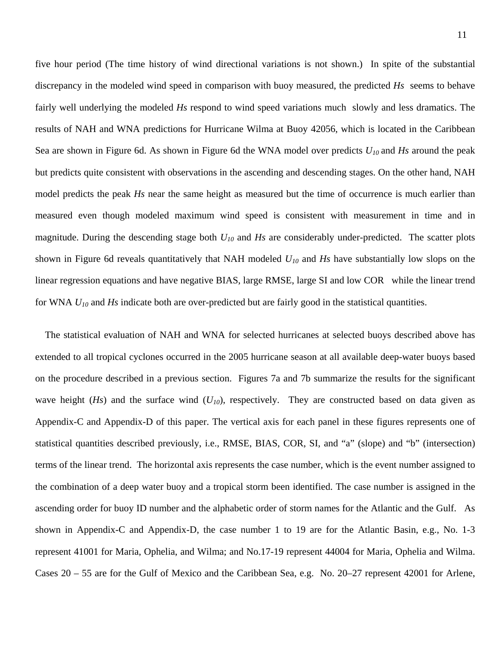five hour period (The time history of wind directional variations is not shown.) In spite of the substantial discrepancy in the modeled wind speed in comparison with buoy measured, the predict ed *Hs* seems to behave fairly well underlying the modeled *Hs* respond to wind speed variations much slowly and less dramatics. The results of NAH and WNA predictions for Hurricane Wilma at Buoy 42056, which is located in the Caribbean Sea are shown in Figure 6d. As shown in Figure 6d the WNA model over predicts  $U_{10}$  and *Hs* around the peak but predicts quite consistent with observations in the ascending and descending stages. O n the other hand, NAH model predicts the peak *Hs* near the same height as measured but the time of occurrence is much earlier than measured even though modeled maximum wind speed is consistent with measurem ent in time and in magnitude. During the descending stage both *U10* and *Hs* are considerably u nder-predicted. The scatter plots linear regression equations and have negative BIAS, large RMSE, large SI and low COR while the linear trend for WNA  $U_{10}$  and  $Hs$  indicate both are over-predicted but are fairly good in the statistical quantities. shown in Figure 6d reveals quantitatively that NAH modeled *U10* and *Hs* have substantially low slops on the

The statistical evaluation of NAH and WNA for selected hurricanes at selected buoys described above has extended to all tropical cyclones occurred in the 2005 hurricane season at all available deep-water buoys based on the procedure described in a previous section. Figures 7a and 7b summarize the results for the significant wave height  $(Hs)$  and the surface wind  $(U_{10})$ , respectively. They are constructed based on data given as Appendix-C and Appendix-D of this paper. The vertical axis for each panel in these figures represents one of statistical quantities described previously, i.e., RMSE, BIAS, COR, SI, and "a" (slope) and "b" (intersection) terms of the linear trend. The horizontal axis represents the case number, which is the event number assigned to the combination of a deep water buoy and a tropical storm been identified. The case number is assigned in the ascending order for buoy ID number and the alphabetic order of storm names for the Atlantic and the Gulf. As shown in Appendix-C and Appendix-D, the case number 1 to 19 are for the Atlantic Basin, e.g., No. 1-3 represent 41001 for Maria, Ophelia, and Wilma; and No.17-19 represent 44004 for Maria, Ophelia and Wilma. Cases 20 – 55 are for the Gulf of Mexico and the Caribbean Sea, e.g. No. 20–27 represent 42001 for Arlene,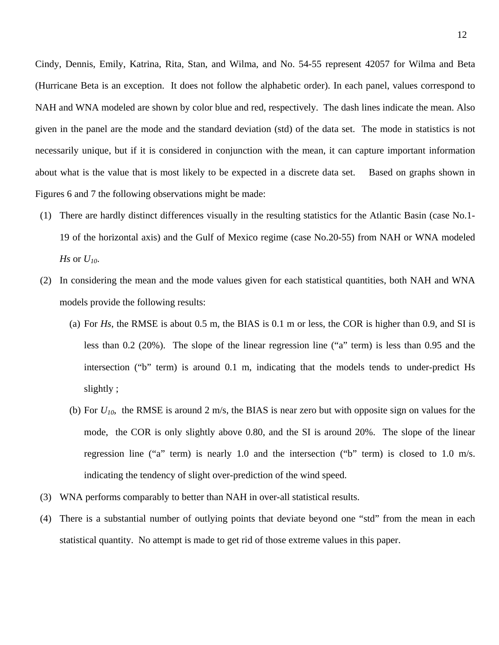Cindy, Dennis, Emily, Katrina, Rita, Stan, and Wilma, and No. 54-55 represent 420 57 for Wilma and Beta (Hurricane Beta is an exception. It does not follow the alphabetic order). In each pan el, values correspond to NAH and WNA modeled are shown by color blue and red, respectively. The dash lines indicate the mean. Also given in the panel are the mode and the standard deviation (std) of the data set. The m ode in statistics is not necessarily unique, but if it is considered in conjunction with the mean, it can capture important information Based on graphs shown in about what is the value that is most likely to be expected in a discrete data set. Figures 6 and 7 the following observations might be made:

- 19 of the horizontal axis) and the Gulf of Mexico regime (case No.20-55) from NAH or WNA modeled (1) There are hardly distinct differences visually in the resulting statistics for the Atlantic Basin (case No.1- *Hs* or  $U_{10}$ .
- (2) In considering the mean and the mode values given for each statistical quantities, both NAH and WNA models provide the following results:
	- (a) For  $H_s$ , the RMSE is about  $0.5$  m, the BIAS is  $0.1$  m or less, the COR is higher than  $0.9$ , and SI is less than  $0.2$  (20%). The slope of the linear regression line ("a" term) is less than  $0.95$  and the intersection ("b" term) is around 0.1 m, indicating that the models tends to under-predict Hs slightly ;
	- (b) For  $U_{10}$ , the RMSE is around 2 m/s, the BIAS is near zero but with opposite sign on values for the mode, the COR is only slightly above 0.80, and the SI is around 20%. The slope of the linear regression line ("a" term) is nearly 1.0 and the intersection ("b" term) is closed to 1.0 m/s. indicating the tendency of slight over-prediction of the wind speed.
- (3) WNA performs comparably to better than NAH in over-all statistical results.
- (4) There is a substantial number of outlying points that deviate beyond one "std" from the mean in each statistical quantity. No attempt is made to get rid of those extreme values in this paper.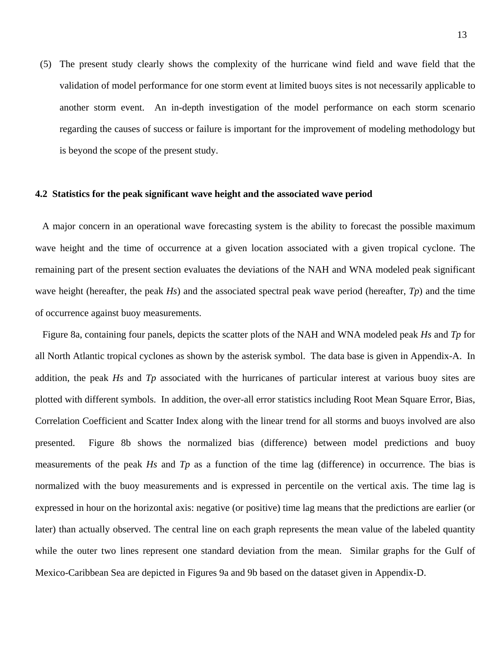(5) The present study clearly shows the complexity of the hurricane wind field a nd wave field that the validation of model performance for one storm event at limited buoys sites is not n ecessarily applicable to another storm event. An in-depth investigation of the model performance o n each storm scenario regarding the causes of success or failure is important for the improvement of modeling methodology but is beyond the scope of the present study.

### **4.2 Statistics for the peak significant wave height and the associated wave period**

A major concern in an operational wave forecasting system is the ability to forecast the possible maximum wave height and the time of occurrence at a given location associated with a given tropical cyclone. The remaining part of the present section evaluates the deviations of the NAH and WNA modeled peak significant wave height (hereafter, the peak *Hs*) and the associated spectral peak wave period (hereafter, *Tp*) and the time of occurrence against buoy measurements.

Figure 8a, containing four panels, depicts the scatter plots of the NAH and WNA modeled peak *Hs* and *Tp* for plotted with different symbols. In addition, the over-all error statistics including Root Mean Square Error, Bias, Correlation Coefficient and Scatter Index along with the linear trend for all storms and buoys involved are also presented. Figure 8b shows the normalized bias (difference) between model predictions and buoy measurements of the peak *Hs* and *Tp* as a function of the time lag (difference) in occurrence. The bias is normalized with the buoy measurements and is expressed in percentile on the vertical axis. The time lag is expressed in hour on the horizontal axis: negative (or positive) time lag means that the predictions are earlier (or later) than actually observed. The central line on each graph represents the mean value of the labeled quantity while the outer two lines represent one standard deviation from the mean. Similar graphs for the Gulf of Mexico-Caribbean Sea are depicted in Figures 9a and 9b based on the dataset given in Appendix-D. all North Atlantic tropical cyclones as shown by the asterisk symbol. The data base is given in Appendix-A. In addition, the peak *Hs* and *Tp* associated with the hurricanes of particular interest at various buoy sites are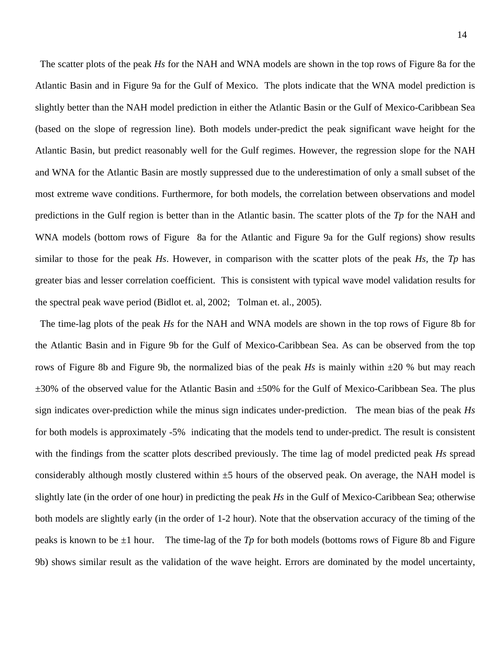The scatter plots of the peak *Hs* for the NAH and WNA models are shown in the top rows of Figure 8a for the Atlantic Basin and in Figure 9a for the Gulf of Mexico. The plots indicate that the W NA model prediction is slightly better than the NAH model prediction in either the Atlantic Basin or the Gulf of Mexico-Caribbean Sea (based on the slope of regression line). Both models under-predict the peak significant wave height for the Atlantic Basin, but predict reasonably well for the Gulf regimes. However, the regres sion slope for the NAH and WNA for the Atlantic Basin are mostly suppressed due to the underestimation of o nly a small subset of the most extreme wave conditions. Furthermore, for both models, the correlation between observations and m odel predictions in the Gulf region is better than in the Atlantic basin. The scatter plots of the *Tp* for the NAH and WNA models (bottom rows of Figure 8a for the Atlan tic and Figure 9a for the Gulf regions) show results similar to those for the peak  $H_s$ . However, in comparison with the scatter plots of the peak  $H_s$ , the  $Tp$  has greater bias and lesser correlation coefficient. This is consistent with typical wave model validation results for the spectral peak wave period (Bidlot et. al, 2002; Tolman et. al., 2005).

The time-lag plots of the peak *Hs* for the NAH and WNA models are shown in the top rows of Figure 8b for the Atlantic Basin and in Figure 9b for the Gulf of Mexico-Caribbean Sea. As can be observed from the top rows of Figure 8b and Figure 9b, the normalized bias of the peak  $H_s$  is mainly within  $\pm 20$  % but may reach  $\pm 30$ % of the observed value for the Atlantic Basin and  $\pm 50$ % for the Gulf of Mexico-Caribbean Sea. The plus sign indicates over-prediction while the minus sign indicates under-prediction. The mean bias of the peak *Hs* for both models is approximately -5% indicating that the models tend to under-predict. The result is consistent with the findings from the scatter plots described previously. The time lag of model predicted peak *Hs* spread considerably although mostly clustered within  $\pm 5$  hours of the observed peak. On average, the NAH model is slightly late (in the order of one hour) in predicting the peak *Hs* in the Gulf of Mexico-Caribbean Sea; otherwise both models are slightly early (in the order of 1-2 hour). Note that the observation accuracy of the timing of the peaks is known to be  $\pm 1$  hour. The time-lag of the *Tp* for both models (bottoms rows of Figure 8b and Figure 9b) shows similar result as the validation of the wave height. Errors are dominated by the model uncertainty,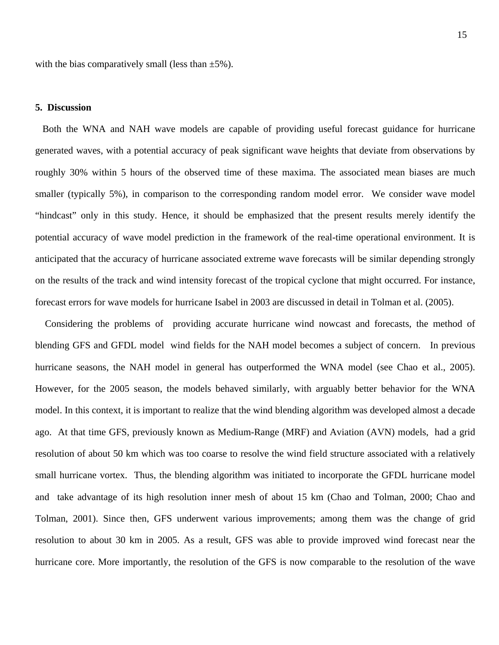with the bias comparatively small (less than  $\pm 5\%$ ).

### **5. Discussion**

generated waves, with a potential accuracy of peak significant wave heights that deviate from observations by roughly 30% within 5 hours of the observed time of these maxima. The associated mean biases are much smaller (typically 5%), in comparison to the corresponding random model error. We consider wave model "hindcast" only in this study. Hence, it should be emphasized that the present results merely identify the potential accuracy of wave model prediction in the framework of the real-time operational environment. It is anticipated that the accuracy of hurricane associated extreme wave forecasts will be similar depending strongly on the results of the track and wind intensity forecast of the tropical cyclone that might occurred. For instance, forecast errors for wave models for hurricane Isabel in 2003 are discussed in detail in Tolman et al. (2005). Both the WNA and NAH wave models are capable of providing useful forecast guidance for hurricane

Considering the problems of providing accurate hurricane wind nowcast and forecasts, the method of blending GFS and GFDL model wind fields for the NAH model becomes a subject of concern. In previous hurricane seasons, the NAH model in general has outperformed the WNA model (see Chao et al., 2005). However, for the 2005 season, the models behaved similarly, with arguably better behavior for the WNA model. In this context, it is important to realize that the wind blending algorithm was developed almost a decade ago. At that time GFS, previously known as Medium-Range (MRF) and Aviation (AVN) models, had a grid resolution of about 50 km which was too coarse to resolve the wind field structure associated with a relatively small hurricane vortex. Thus, the blending algorithm was initiated to incorporate the GFDL hurricane model and take advantage of its high resolution inner mesh of about 15 km (Chao and Tolman, 2000; Chao and Tolman, 2001). Since then, GFS underwent various improvements; among them was the change of grid resolution to about 30 km in 2005. As a result, GFS was able to provide improved wind forecast near the hurricane core. More importantly, the resolution of the GFS is now comparable to the resolution of the wave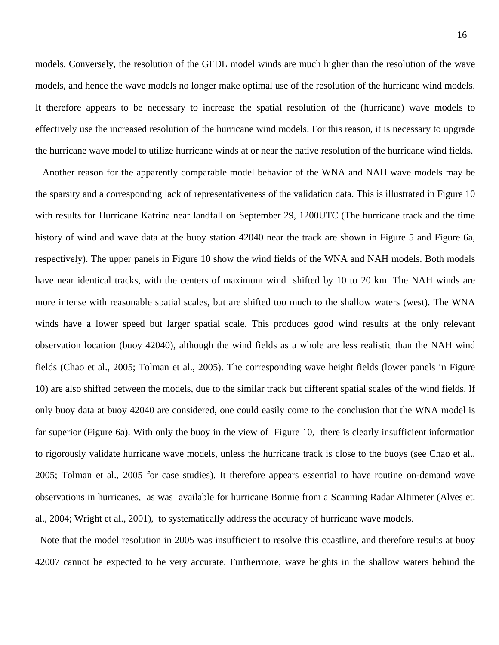models. Conversely, the resolution of the GFDL model winds are much higher than th e resolution of the wave models, and hence the wave models no longer make optimal use of the resolution of the hurricane wind models. It therefore appears to be necessary to increase the spatial resolution of the (hurr icane) wave models to the hurricane wave model to utilize hurricane winds at or near the native resolution of the hurricane wind fields. effectively use the increased resolution of the hurricane wind models. For this reason, it is necessary to upgrade

Another reason for the apparently comparable model behavior of the WNA and NAH wave models may be history of wind and wave data at the buoy station 42040 near the track are shown in Figure 5 and Figure 6a, respectively). The upper panels in Figure 10 show the wind fields of the WNA and NAH models. Both models have near identical tracks, with the centers of maximum wind shifted by 10 to 20 km. The NAH winds are more intense with reasonable spatial scales, but are shifted too much to the shallow waters (west). The WNA winds have a lower speed but larger spatial scale. This produces good wind results at the only relevant observation location (buoy 42040), although the wind fields as a whole are less realistic than the NAH wind fields (Chao et al., 2005; Tolman et al., 2005). The corresponding wave height fields (lower panels in Figure 10) are also shifted between the models, due to the similar track but different spatial scales of the wind fields. If only buoy data at buoy 42040 are considered, one could easily come to the conclusion that the WNA model is far superior (Figure 6a). With only the buoy in the view of Figure 10, there is clearly insufficient information to rigorously validate hurricane wave models, unless the hurricane track is close to the buoys (see Chao et al., 2005; Tolman et al., 2005 for case studies). It therefore appears essential to have routine on-demand wave observations in hurricanes, as was available for hurricane Bonnie from a Scanning Radar Altimeter (Alves et. al., 2004; Wright et al., 2001), to systematically address the accuracy of hurricane wave models. the sparsity and a corresponding lack of representativeness of the validation data. This is illustrated in Figure 10 with results for Hurricane Katrina near landfall on September 29, 1200UTC (The hurricane track and the time

 Note that the model resolution in 2005 was insufficient to resolve this coastline, and therefore results at buoy 42007 cannot be expected to be very accurate. Furthermore, wave heights in the shallow waters behind the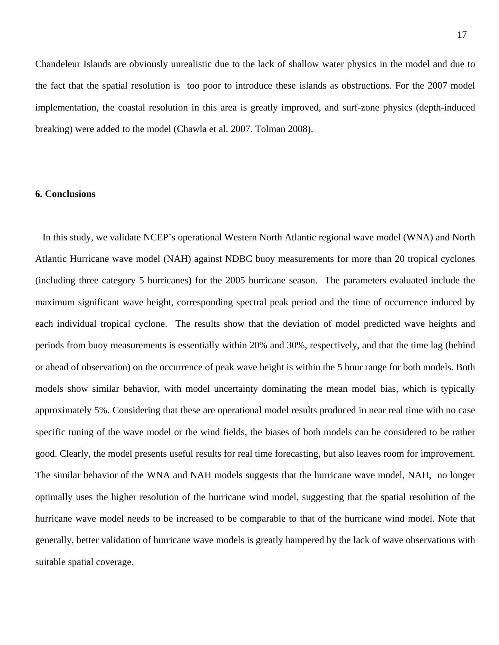Chandeleur Islands are obviously unrealistic due to the lack of shallow water physics i n the model and due to the fact that the spatial resolution is too poor to introduce these islands as obstructions. For the 2007 model implementation, the coastal resolution in this area is g reatly improved, and surf-zone physics (depth-induced breaking) were added to the model (Chawla et al. 2007. Tolman 2008).

### **6. Conclusions**

In this study, we validate NCEP's operational Western North Atlantic regional wave model (WNA) and North Atlantic Hurricane wave model (NAH) against NDBC buoy measurements for more than 20 tropical cyclones (including three category 5 hurricanes) for the 2005 hurricane season. The parameters evaluated include the maximum significant wave height, corresponding spectral peak period and the time of occurrence induced by each individual tropical cyclone. The results show that the deviation of model predicted wave heights and periods from buoy measurements is essentially within 20% and 30%, respectively, and that the time lag (behind or ahead of observation) on the occurrence of peak wave height is within the 5 hour range for both models. Both models show similar behavior, with model uncertainty dominating the mean model bias, which is typically approximately 5%. Considering that these are operational model results produced in near real time with no case specific tuning of the wave model or the wind fields, the biases of both models can be considered to be rather good. Clearly, the model presents useful results for real time forecasting, but also leaves room for improvement. The similar behavior of the WNA and NAH models suggests that the hurricane wave model, NAH, no longer optimally uses the higher resolution of the hurricane wind model, suggesting that the spatial resolution of the hurricane wave model needs to be increased to be comparable to that of the hurricane wind model. Note that generally, better validation of hurricane wave models is greatly hampered by the lack of wave observations with suitable spatial coverage.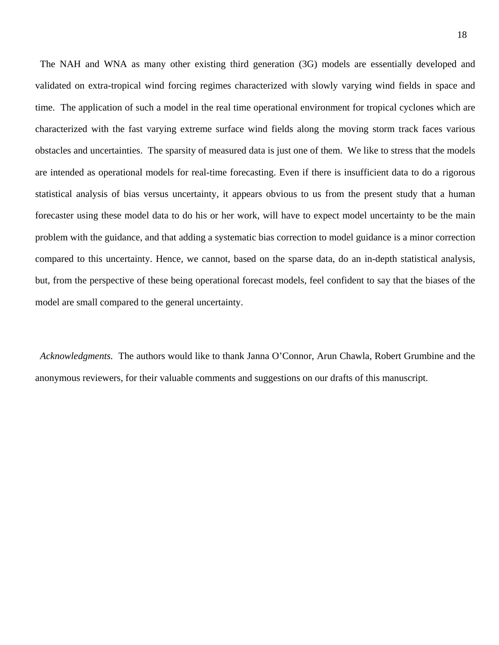The NAH and WNA as many other existing third generation (3G) models are ess entially developed and validated on extra-tropical wind forcing regimes characterized with slowly varying w ind fields in space and time. The application of such a model in the real time operational environment for tropical cyclones which are characterized with the fast varying extreme surface wind fields along the moving storm track faces various obstacles and uncertainties. The sparsity of measured data is just one of them. We like to stress that the models are intended as operational models for real-time forecasting. Even if there is insufficie nt data to do a rigorous statistical analysis of bias versus uncertainty, it appears obvious to us from the present study that a hum an forecaster using these model data to do his or her work, will have to expect model uncertainty to be the main problem with the guidance, and that adding a systematic bias correction to model guidance is a minor correction compared to this uncertainty. Hence, we cannot, based on the sparse data, do an in-depth statistical analysis, but, from the perspective of these being operational forecast models, feel confident to say that the biases of the model are small compared to the general uncertainty.

*Acknowledgments.* The authors would like to thank Janna O'Connor, Arun Chawla, Robert Grumbine and the anonymous reviewers, for their valuable comments and suggestions on our drafts of this manuscript.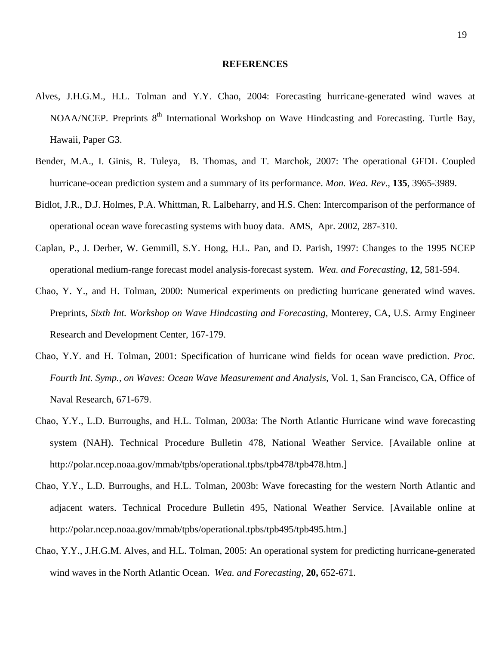### **REFERENCES**

- Alves, J.H.G.M., H.L. Tolman and Y.Y. Chao, 2004: Forecasting hurricane-generated wind waves at NOAA/NCEP. Preprints 8<sup>th</sup> International Workshop on Wave Hindcasting and Forecasting. Turtle Bay, Hawaii, Paper G3.
- Bender, M.A., I. Ginis, R. Tuleya, B. Thomas, and T. Marchok, 2007: The operational GFDL Coupled hurricane-ocean prediction system and a summary of its performance. Mon. Wea. Rev., 135, 3965-3989.
- Bidlot, J.R., D.J. Holmes, P.A. Whittman, R. Lalbeharry, and H.S. Chen: Intercomparison of the performance of operational ocean wave forecasting systems with buoy data. AMS, Apr. 2002, 287-310.
- Caplan, P., J. Derber, W. Gemmill, S.Y. Hong, H.L. Pan, and D. Parish, 1997: Changes to the 1995 NCEP operational medium-range forecast model analysis-forecast system. Wea. and Forecasting, 12, 581-594.
- Chao, Y. Y., and H. Tolman, 2000: Numerical experiments on predicting hurricane generated wind waves. Preprints, *Sixth Int. Workshop on Wave Hindcasting and Forecasting*, Monterey, CA, U.S. Army Engineer Research and Development Center, 167-179.
- Chao, Y.Y. and H. Tolman, 2001: Specification of hurricane wind fields for ocean wave prediction. Proc. *Fourth Int. Symp., on Waves: Ocean Wave Measurement and Analysis*, Vol. 1, San Francisco, CA, Office of Naval Research, 671-679.
- Chao, Y.Y., L.D. Burroughs, and H.L. Tolman, 2003a: The North Atlantic Hurricane wind wave forecasting system (NAH). Technical Procedure Bulletin 478, National Weather Service. [Available online at http://polar.ncep.noaa.gov/mmab/tpbs/operational.tpbs/tpb478/tpb478.htm.]
- Chao, Y.Y., L.D. Burroughs, and H.L. Tolman, 2003b: Wave forecasting for the western North Atlantic and adjacent waters. Technical Procedure Bulletin 495, National Weather Service. [Available online at http://polar.ncep.noaa.gov/mmab/tpbs/operational.tpbs/tpb495/tpb495.htm.]
- Chao, Y.Y., J.H.G.M. Alves, and H.L. Tolman, 2005: An operational system for predicting hurricane-generated wind waves in the North Atlantic Ocean. *Wea. and Forecasting,* **20,** 652-671.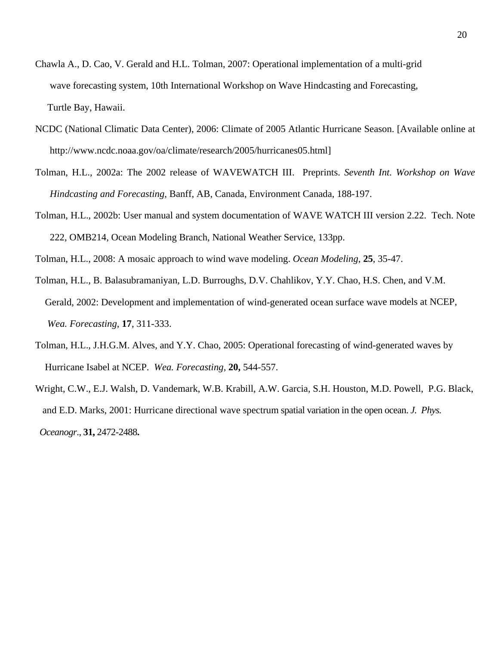- Chawla A., D. Cao, V. Gerald and H.L. Tolman, 2007: Operational implementation of a multi-grid wave forecasting system, 10th International Workshop on Wave Hindcasting and Forecasting, Turtle Bay, Hawaii.
- NCDC (National Climatic Data Center), 2006: Climate of 2005 Atlantic Hurricane Season. [Available online at http://www.ncdc.noaa.gov/oa/climate/research/2005/hurricanes05.html]
- *nt. Workshop on Wave*  Tolman, H.L., 2002a: The 2002 release of WAVEWATCH III. Preprints. *Seventh I Hindcasting and Forecasting*, Banff, AB, Canada, Environment Canada, 188-197.
- Tolman, H.L., 2002b: User manual and system documentation of WAVE WATCH III version 2.22. Tech. Note 222, OMB214, Ocean Modeling Branch, National Weather Service, 133pp.

Tolman, H.L., 2008: A mosaic approach to wind wave modeling. *Ocean Modeling*, 25, 35-47.

- Tolman, H.L., B. Balasubramaniyan, L.D. Burroughs, D.V. Chahlikov, Y.Y. Chao, H.S. Chen, and V.M. Gerald, 2002: Development and implementation of wind-generated ocean surface wave models at NCEP, *Wea. Forecasting*, **17**, 311-333.
- Tolman, H.L., J.H.G.M. Alves, and Y.Y. Chao, 2005: Operational forecasting of wind-generated waves by Hurricane Isabel at NCEP. *Wea. Forecasting,* **20,** 544-557.
- Wright, C.W., E.J. Walsh, D. Vandemark, W.B. Krabill, A.W. Garcia, S.H. Houston, M.D. Powell, P.G. Black, and E.D. Marks, 2001: Hurricane directional wave spectrum spatial variation in the open ocean. *J. Phys. Oceanogr*., **31,** 2472-2488**.**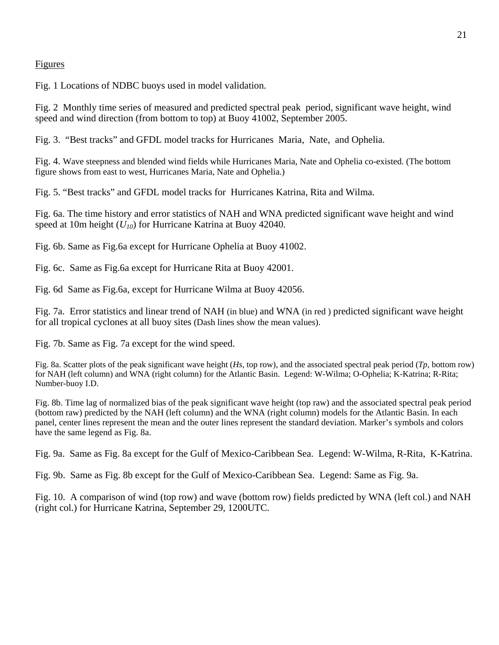### Figures

Fig. 1 Locations of NDBC buoys used in model validation.

Fig. 2 Monthly time series of measured and predicted spectral peak period, significant wave height, wind speed and wind direction (from bottom to top) at Buoy 41002, September 2005.

Fig. 3. "Best tracks" and GFDL model tracks for Hurricanes Maria, Nate, and Ophelia.

Fig. 4. Wave steepness and blended wind fields while Hurricanes Maria, Nate and Ophelia co-existed. (The bottom figure shows from east to west, Hurricanes Maria, Nate and Ophelia.)

Fig. 5. "Best tracks" and GFDL model tracks for Hurricanes Katrina, Rita and Wilma.

Fig. 6a. The time history and error statistics of NAH and WNA predicted significant wave height and wind speed at 10m height  $(U_{10})$  for Hurricane Katrina at Buoy 42040.

Fig. 6b. Same as Fig.6a except for Hurricane Ophelia at Buoy 41002.

Fig. 6c. Same as Fig.6a except for Hurricane Rita at Buoy 42001.

Fig. 6d Same as Fig.6a, except for Hurricane Wilma at Buoy 42056.

Fig. 7a. Error statistics and linear trend of NAH (in blue) and WNA (in red ) predicted significant wave height for all tropical cyclones at all buoy sites (Dash lines show the mean values).

Fig. 7b. Same as Fig. 7a except for the wind speed.

Fig. 8a. Scatter plots of the peak significant wave height ( $H_s$ , top row), and the associated spectral peak period ( $Tp$ , bottom row) for NAH (left column) and WNA (right column) for the Atlantic Basin. Legend: W-Wilma; O-Ophelia; K-Katrina; R-Rita; Number-buoy I.D.

Fig. 8b. Time lag of normalized bias of the peak significant wave height (top raw) and the associated spectral peak period (bottom raw) predicted by the NAH (left column) and the WNA (right column) models for the Atlantic Basin. In each panel, center lines represent the mean and the outer lines represent the standard deviation. Marker's symbols and colors have the same legend as Fig. 8a.

Fig. 9a. Same as Fig. 8a except for the Gulf of Mexico-Caribbean Sea. Legend: W-Wilma, R-Rita, K-Katrina.

Fig. 9b. Same as Fig. 8b except for the Gulf of Mexico-Caribbean Sea. Legend: Same as Fig. 9a.

Fig. 10. A comparison of wind (top row) and wave (bottom row) fields predicted by WNA (left col.) and NAH (right col.) for Hurricane Katrina, September 29, 1200UTC.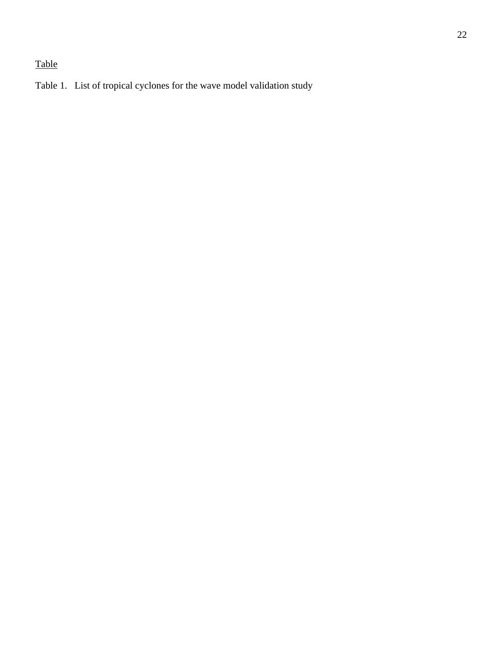# Table

Table 1. List of tropical cyclones for the wave model validation study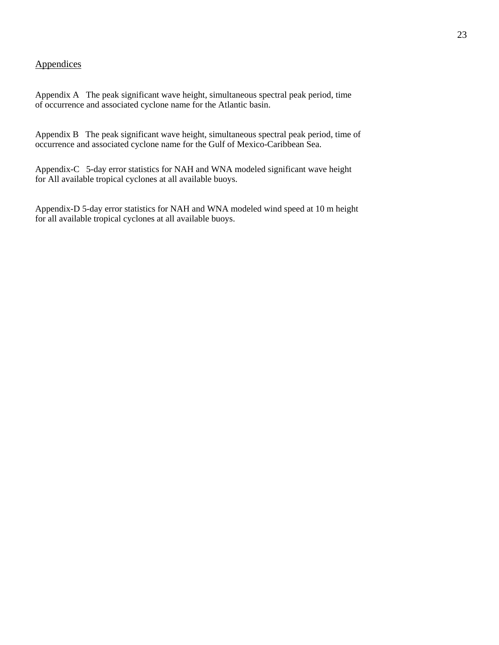### **Appendices**

Appendix A The peak significant wave height, simultaneous spectral peak period, time of occurrence and associated cyclone name for the Atlantic basin.

Appendix B The peak significant wave height, simultaneous spectral peak period, time of occurrence and associated cyclone name for the Gulf of Mexico-Caribbean Sea.

Appendix-C 5-day error statistics for NAH and WNA modeled significant wave height for All available tropical cyclones at all available buoys.

Appendix-D 5-day error statistics for NAH and WNA modeled wind speed at 10 m height for all available tropical cyclones at all available buoys.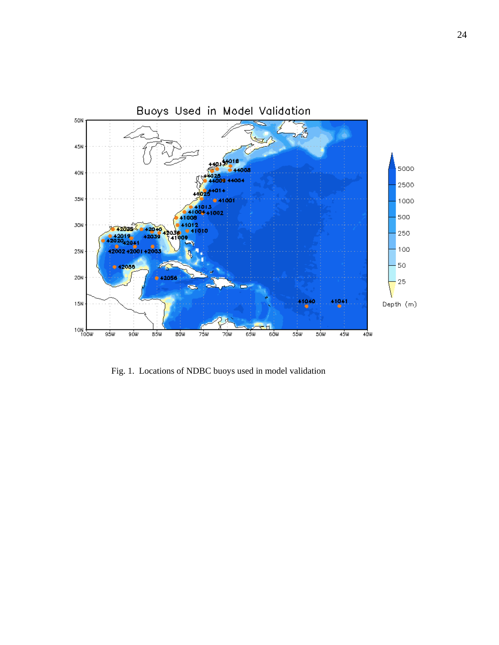

Fig. 1. Locations of NDBC buoys used in model validation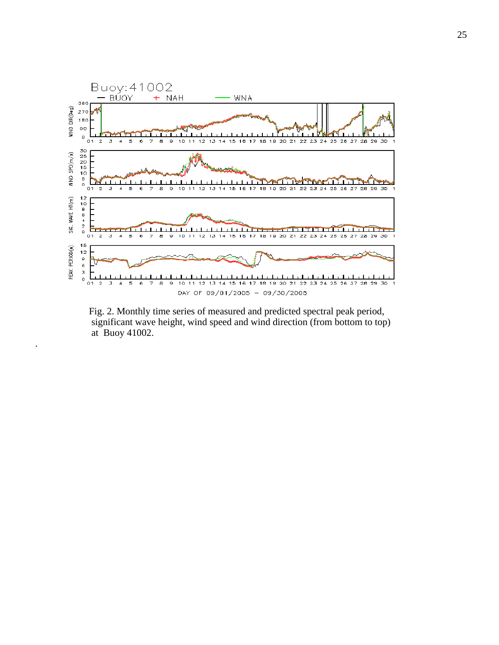

 Fig. 2. Monthly time series of measured and predicted spectral peak period, significant wave height, wind speed and wind direction (from bottom to top) at Buoy 41002.

.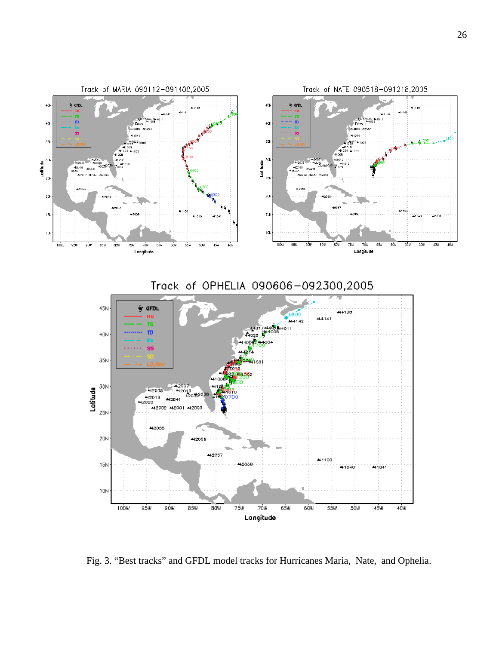

Fig. 3. "Best tracks" and GFDL model tracks for Hurricanes Maria, Nate, and Ophelia.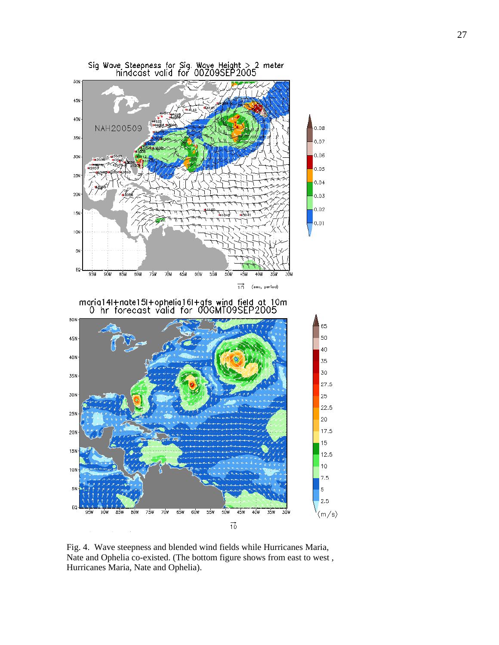

 Fig. 4. Wave steepness and blended wind fields while Hurricanes Maria, Nate and Ophelia co-existed. (The bottom figure shows from east to west , Hurricanes Maria, Nate and Ophelia).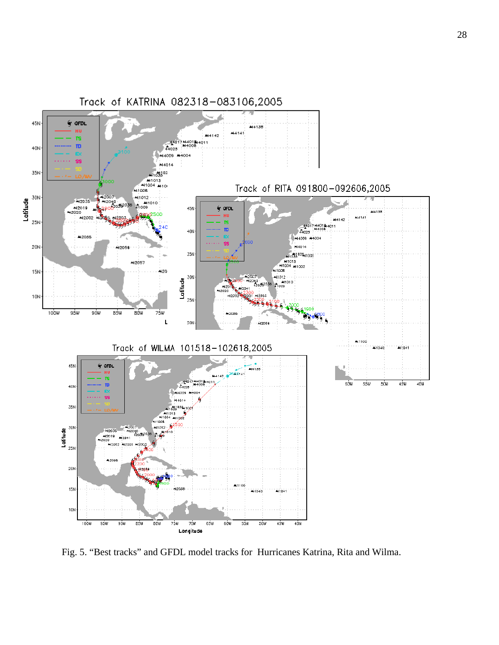

Fig. 5. "Best tracks" and GFDL model tracks for Hurricanes Katrina, Rita and Wilma.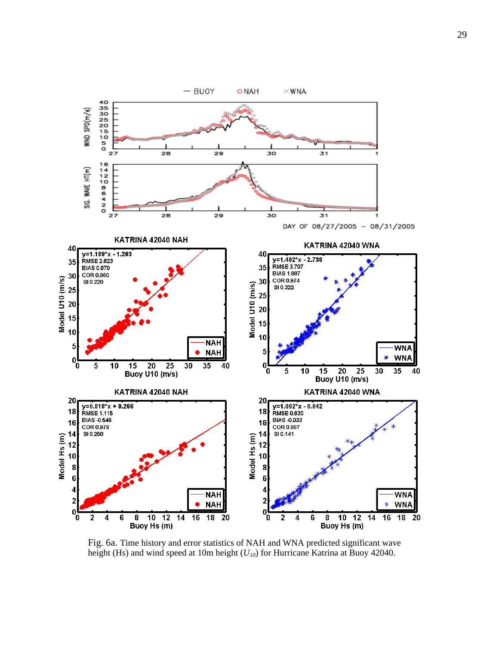

Fig. 6a. Time history and error statistics of NAH and WNA predicted significant wave height (Hs) and wind speed at 10m height ( $U_{10}$ ) for Hurricane Katrina at Buoy 42040.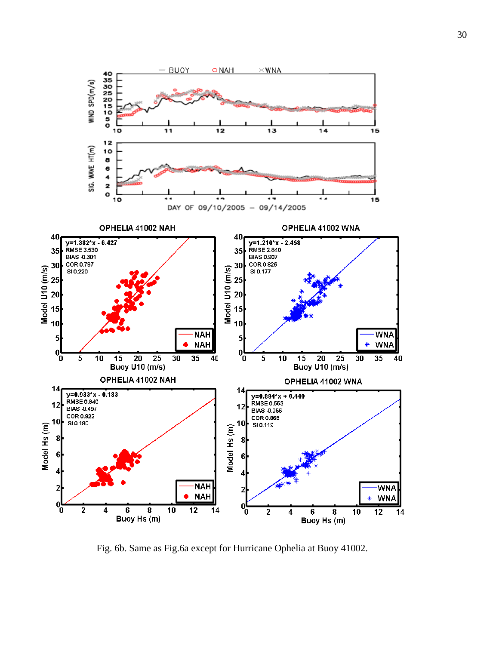

Fig. 6b. Same as Fig.6a except for Hurricane Ophelia at Buoy 41002.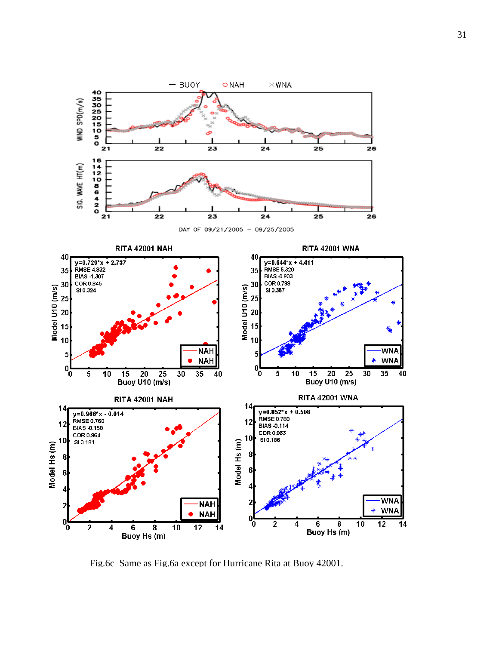

Fig.6c Same as Fig.6a except for Hurricane Rita at Buoy 42001.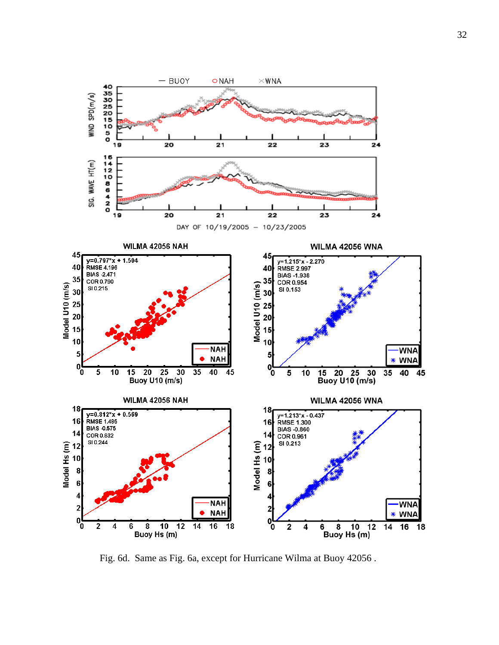

Fig. 6d. Same as Fig. 6a, except for Hurricane Wilma at Buoy 42056 .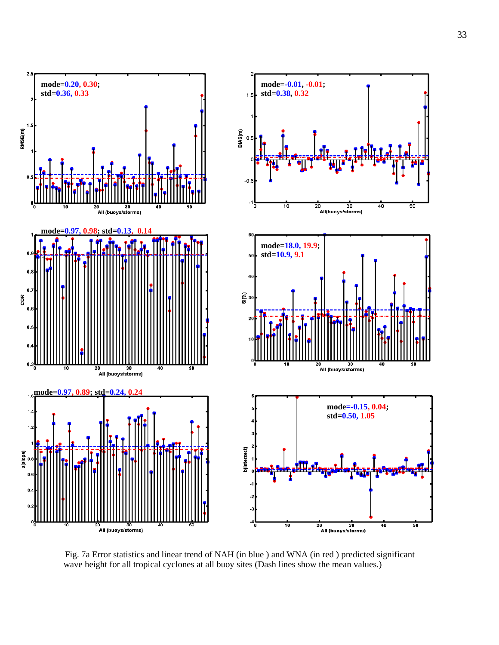

 Fig. 7a Error statistics and linear trend of NAH (in blue ) and WNA (in red ) predicted significant wave height for all tropical cyclones at all buoy sites (Dash lines show the mean values.)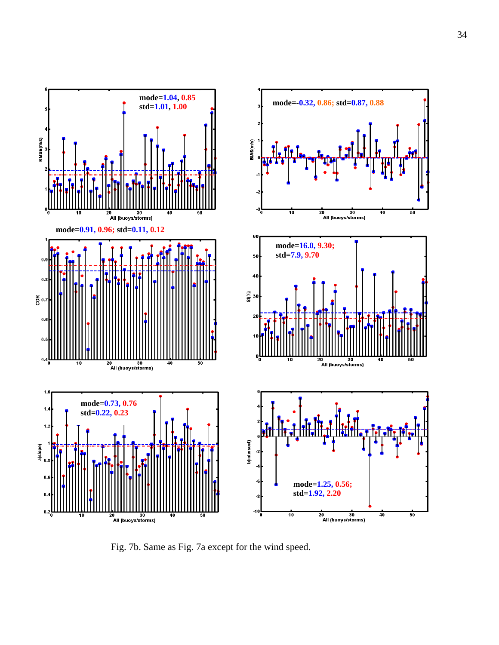

Fig. 7b. Same as Fig. 7a except for the wind speed.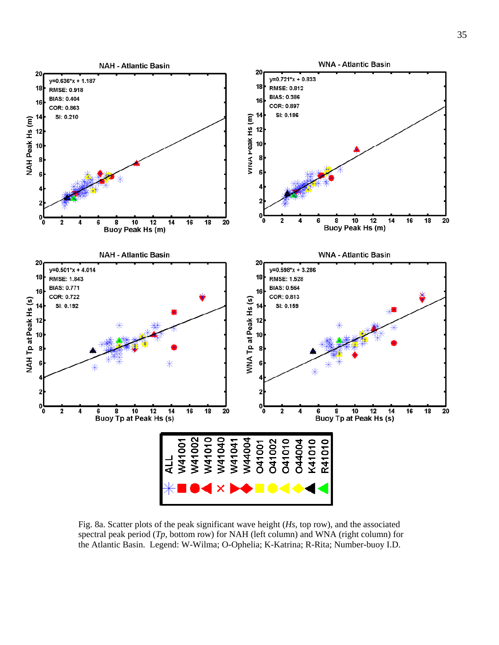

Fig. 8a. Scatter plots of the peak significant wave height (*Hs*, top row), and the associated spectral peak period (*Tp*, bottom row) for NAH (left column) and WNA (right column) for the Atlantic Basin. Legend: W-Wilma; O-Ophelia; K-Katrina; R-Rita; Number-buoy I.D.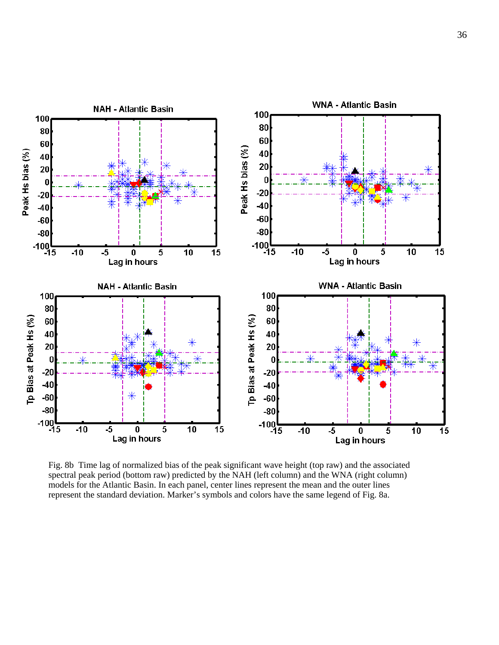

Fig. 8b Time lag of normalized bias of the peak significant wave height (top raw) and the associated spectral peak period (bottom raw) predicted by the NAH (left column) and the WNA (right column) models for the Atlantic Basin. In each panel, center lines represent the mean and the outer lines represent the standard deviation. Marker's symbols and colors have the same legend of Fig. 8a.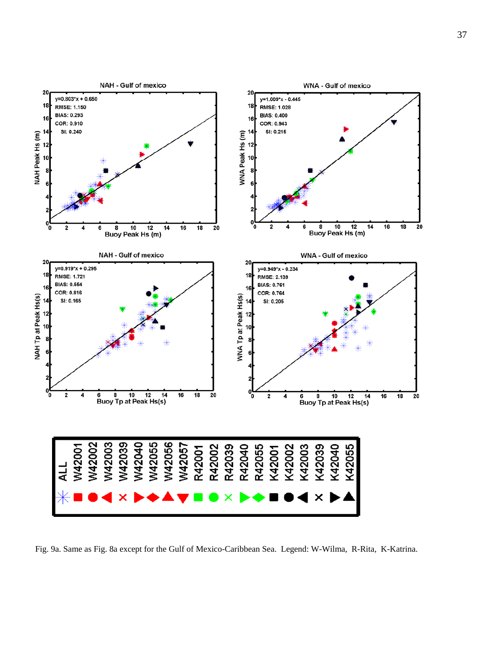

Fig. 9a. Same as Fig. 8a except for the Gulf of Mexico-Caribbean Sea. Legend: W-Wilma, R-Rita, K-Katrina.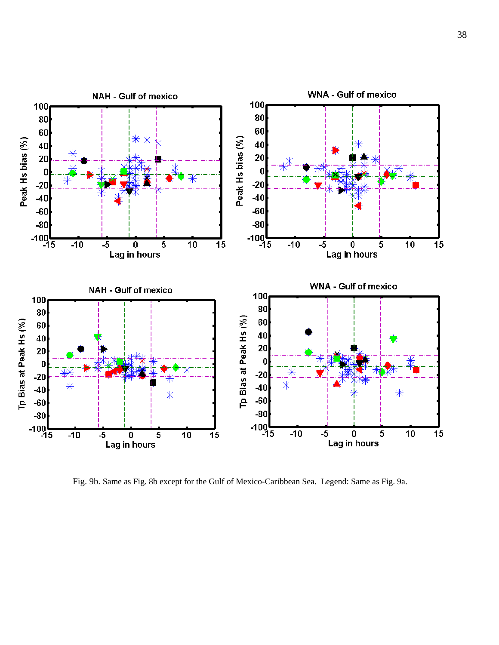

Fig. 9b. Same as Fig. 8b except for the Gulf of Mexico-Caribbean Sea. Legend: Same as Fig. 9a.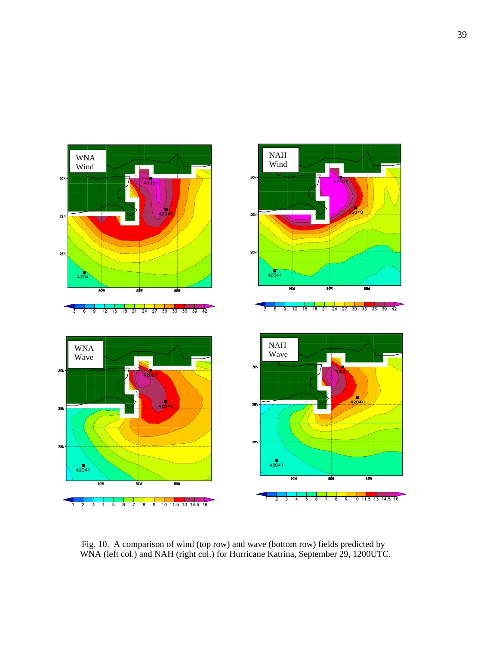

 Fig. 10. A comparison of wind (top row) and wave (bottom row) fields predicted by WNA (left col.) and NAH (right col.) for Hurricane Katrina, September 29, 1200UTC.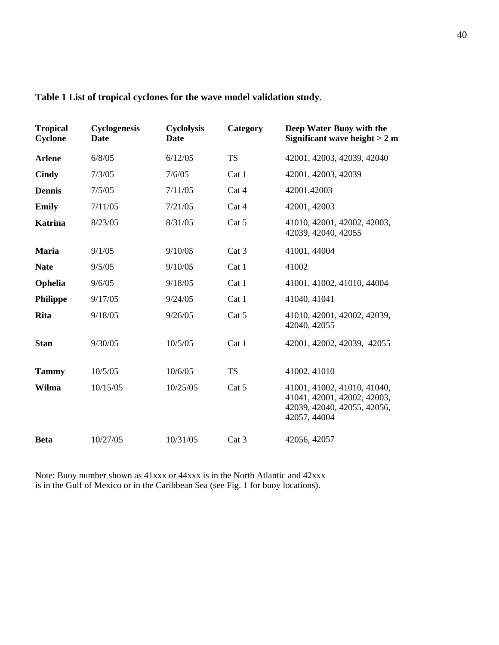| <b>Tropical</b><br>Cyclone | Cyclogenesis<br><b>Date</b> | <b>Cyclolysis</b><br>Date | Category  | Deep Water Buoy with the<br>Significant wave height $> 2$ m                                               |
|----------------------------|-----------------------------|---------------------------|-----------|-----------------------------------------------------------------------------------------------------------|
| <b>Arlene</b>              | 6/8/05                      | 6/12/05                   | <b>TS</b> | 42001, 42003, 42039, 42040                                                                                |
| Cindy                      | 7/3/05                      | 7/6/05                    | Cat 1     | 42001, 42003, 42039                                                                                       |
| <b>Dennis</b>              | 7/5/05                      | 7/11/05                   | Cat 4     | 42001,42003                                                                                               |
| <b>Emily</b>               | 7/11/05                     | 7/21/05                   | Cat 4     | 42001, 42003                                                                                              |
| <b>Katrina</b>             | 8/23/05                     | 8/31/05                   | Cat 5     | 41010, 42001, 42002, 42003,<br>42039, 42040, 42055                                                        |
| <b>Maria</b>               | 9/1/05                      | 9/10/05                   | Cat 3     | 41001, 44004                                                                                              |
| <b>Nate</b>                | 9/5/05                      | 9/10/05                   | Cat 1     | 41002                                                                                                     |
| Ophelia                    | 9/6/05                      | 9/18/05                   | Cat 1     | 41001, 41002, 41010, 44004                                                                                |
| <b>Philippe</b>            | 9/17/05                     | 9/24/05                   | Cat 1     | 41040, 41041                                                                                              |
| <b>Rita</b>                | 9/18/05                     | 9/26/05                   | Cat 5     | 41010, 42001, 42002, 42039,<br>42040, 42055                                                               |
| <b>Stan</b>                | 9/30/05                     | 10/5/05                   | Cat 1     | 42001, 42002, 42039, 42055                                                                                |
| <b>Tammy</b>               | 10/5/05                     | 10/6/05                   | <b>TS</b> | 41002, 41010                                                                                              |
| Wilma                      | 10/15/05                    | 10/25/05                  | Cat 5     | 41001, 41002, 41010, 41040,<br>41041, 42001, 42002, 42003,<br>42039, 42040, 42055, 42056,<br>42057, 44004 |
| <b>Beta</b>                | 10/27/05                    | 10/31/05                  | Cat 3     | 42056, 42057                                                                                              |

### Table 1 List of tropical cyclones for the wave model validation study.

Note: Buoy number shown as 41xxx or 44xxx is in the North Atlantic and 42xxx is in the Gulf of Mexico or in the Caribbean Sea (see Fig. 1 for buoy locations).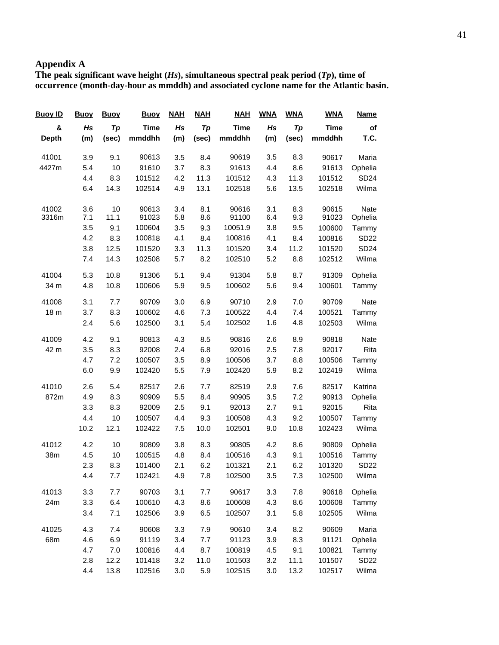# **Appendix A**

*Tp***), time of occurrence (month-day-hour as mmddh) and associated cyclone name for the Atlantic basin. The peak significant wave height (***Hs***), simultaneous spectral peak period (**

| <b>Name</b> | <b>WNA</b>  | <b>WNA</b> | <b>WNA</b> | <b>NAH</b>  | <b>NAH</b> | <b>NAH</b> | <b>Buoy</b> | <b>Buoy</b> | <b>Buoy</b> | <b>Buoy ID</b> |
|-------------|-------------|------------|------------|-------------|------------|------------|-------------|-------------|-------------|----------------|
| of          | <b>Time</b> | Tp         | Hs         | <b>Time</b> | Tp         | Hs         | <b>Time</b> | Tp          | Hs          | &              |
| T.C.        | mmddhh      | (sec)      | (m)        | mmddhh      | (sec)      | (m)        | mmddhh      | (sec)       | (m)         | <b>Depth</b>   |
| Maria       | 90617       | 8.3        | 3.5        | 90619       | 8.4        | 3.5        | 90613       | 9.1         | 3.9         | 41001          |
| Ophelia     | 91613       | 8.6        | 4.4        | 91613       | 8.3        | 3.7        | 91610       | 10          | 5.4         | 4427m          |
| SD24        | 101512      | 11.3       | 4.3        | 101512      | 11.3       | 4.2        | 101512      | 8.3         | 4.4         |                |
| Wilma       | 102518      | 13.5       | 5.6        | 102518      | 13.1       | 4.9        | 102514      | 14.3        | 6.4         |                |
| Nate        | 90615       | 8.3        | 3.1        | 90616       | 8.1        | 3.4        | 90613       | 10          | 3.6         | 41002          |
| Ophelia     | 91023       | 9.3        | 6.4        | 91100       | 8.6        | 5.8        | 91023       | 11.1        | 7.1         | 3316m          |
| Tammy       | 100600      | 9.5        | 3.8        | 10051.9     | 9.3        | 3.5        | 100604      | 9.1         | 3.5         |                |
| SD22        | 100816      | 8.4        | 4.1        | 100816      | 8.4        | 4.1        | 100818      | 8.3         | 4.2         |                |
| <b>SD24</b> | 101520      | 11.2       | 3.4        | 101520      | 11.3       | 3.3        | 101520      | 12.5        | 3.8         |                |
| Wilma       | 102512      | 8.8        | 5.2        | 102510      | 8.2        | 5.7        | 102508      | 14.3        | 7.4         |                |
| Ophelia     | 91309       | 8.7        | 5.8        | 91304       | 9.4        | 5.1        | 91306       | 10.8        | 5.3         | 41004          |
| Tammy       | 100601      | 9.4        | 5.6        | 100602      | 9.5        | 5.9        | 100606      | 10.8        | 4.8         | 34 m           |
| Nate        | 90709       | 7.0        | 2.9        | 90710       | 6.9        | 3.0        | 90709       | 7.7         | 3.1         | 41008          |
| Tammy       | 100521      | 7.4        | 4.4        | 100522      | 7.3        | 4.6        | 100602      | 8.3         | 3.7         | 18 m           |
| Wilma       | 102503      | 4.8        | 1.6        | 102502      | 5.4        | 3.1        | 102500      | 5.6         | 2.4         |                |
| Nate        | 90818       | 8.9        | 2.6        | 90816       | 8.5        | 4.3        | 90813       | 9.1         | 4.2         | 41009          |
| Rita        | 92017       | 7.8        | 2.5        | 92016       | 6.8        | 2.4        | 92008       | 8.3         | 3.5         | 42 m           |
| Tammy       | 100506      | 8.8        | 3.7        | 100506      | 8.9        | 3.5        | 100507      | 7.2         | 4.7         |                |
| Wilma       | 102419      | 8.2        | 5.9        | 102420      | 7.9        | 5.5        | 102420      | 9.9         | 6.0         |                |
| Katrina     | 82517       | 7.6        | 2.9        | 82519       | 7.7        | 2.6        | 82517       | 5.4         | 2.6         | 41010          |
| Ophelia     | 90913       | 7.2        | 3.5        | 90905       | 8.4        | 5.5        | 90909       | 8.3         | 4.9         | 872m           |
| Rita        | 92015       | 9.1        | 2.7        | 92013       | 9.1        | 2.5        | 92009       | 8.3         | 3.3         |                |
| Tammy       | 100507      | 9.2        | 4.3        | 100508      | 9.3        | 4.4        | 100507      | 10          | 4.4         |                |
| Wilma       | 102423      | 10.8       | 9.0        | 102501      | 10.0       | 7.5        | 102422      | 12.1        | 10.2        |                |
| Ophelia     | 90809       | 8.6        | 4.2        | 90805       | 8.3        | 3.8        | 90809       | 10          | 4.2         | 41012          |
| Tammy       | 100516      | 9.1        | 4.3        | 100516      | 8.4        | 4.8        | 100515      | 10          | 4.5         | 38m            |
| <b>SD22</b> | 101320      | 6.2        | 2.1        | 101321      | 6.2        | 2.1        | 101400      | 8.3         | 2.3         |                |
| Wilma       | 102500      | $7.3$      | 3.5        | 102500      | 7.8        | 4.9        | 102421      | $7.7\,$     | 4.4         |                |
| Ophelia     | 90618       | 7.8        | 3.3        | 90617       | 7.7        | 3.1        | 90703       | 7.7         | 3.3         | 41013          |
| Tammy       | 100608      | 8.6        | 4.3        | 100608      | 8.6        | 4.3        | 100610      | 6.4         | 3.3         | 24m            |
| Wilma       | 102505      | 5.8        | 3.1        | 102507      | 6.5        | 3.9        | 102506      | 7.1         | 3.4         |                |
| Maria       | 90609       | 8.2        | 3.4        | 90610       | 7.9        | 3.3        | 90608       | 7.4         | 4.3         | 41025          |
| Ophelia     | 91121       | 8.3        | 3.9        | 91123       | 7.7        | 3.4        | 91119       | 6.9         | 4.6         | 68m            |
| Tammy       | 100821      | 9.1        | 4.5        | 100819      | 8.7        | 4.4        | 100816      | $7.0\,$     | 4.7         |                |
| <b>SD22</b> | 101507      | 11.1       | 3.2        | 101503      | 11.0       | 3.2        | 101418      | 12.2        | 2.8         |                |
| Wilma       | 102517      | 13.2       | 3.0        | 102515      | 5.9        | 3.0        | 102516      | 13.8        | 4.4         |                |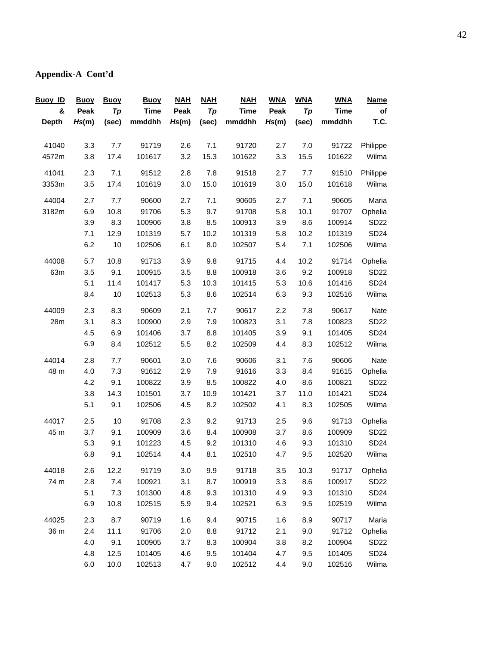# **Appendix-A Cont'd**

| <b>Name</b> | <b>WNA</b>  | <b>WNA</b> | <b>WNA</b> | <b>NAH</b>  | <b>NAH</b> | <b>NAH</b> | <u>Buoy</u> | <b>Buoy</b> | <b>Buoy</b> | <b>Buoy ID</b> |
|-------------|-------------|------------|------------|-------------|------------|------------|-------------|-------------|-------------|----------------|
| of          | <b>Time</b> | Tp         | Peak       | <b>Time</b> | Tp         | Peak       | <b>Time</b> | Tp          | Peak        | &              |
| T.C.        | mmddhh      | (sec)      | Hs(m)      | mmddhh      | (sec)      | Hs(m)      | mmddhh      | (sec)       | Hs(m)       | <b>Depth</b>   |
|             |             |            |            |             |            |            |             |             |             |                |
| Philippe    | 91722       | 7.0        | 2.7        | 91720       | 7.1        | 2.6        | 91719       | 7.7         | 3.3         | 41040          |
| Wilma       | 101622      | 15.5       | 3.3        | 101622      | 15.3       | 3.2        | 101617      | 17.4        | 3.8         | 4572m          |
| Philippe    | 91510       | 7.7        | 2.7        | 91518       | 7.8        | 2.8        | 91512       | 7.1         | 2.3         | 41041          |
| Wilma       | 101618      | 15.0       | 3.0        | 101619      | 15.0       | 3.0        | 101619      | 17.4        | 3.5         | 3353m          |
| Maria       | 90605       | 7.1        | 2.7        | 90605       | 7.1        | 2.7        | 90600       | 7.7         | 2.7         | 44004          |
| Ophelia     | 91707       | 10.1       | 5.8        | 91708       | 9.7        | 5.3        | 91706       | 10.8        | 6.9         | 3182m          |
| <b>SD22</b> | 100914      | 8.6        | 3.9        | 100913      | 8.5        | 3.8        | 100906      | 8.3         | 3.9         |                |
| <b>SD24</b> | 101319      | 10.2       | 5.8        | 101319      | 10.2       | 5.7        | 101319      | 12.9        | 7.1         |                |
| Wilma       | 102506      | 7.1        | 5.4        | 102507      | 8.0        | 6.1        | 102506      | 10          | 6.2         |                |
| Ophelia     | 91714       | 10.2       | 4.4        | 91715       | 9.8        | 3.9        | 91713       | 10.8        | 5.7         | 44008          |
| SD22        | 100918      | 9.2        | 3.6        | 100918      | 8.8        | 3.5        | 100915      | 9.1         | 3.5         | 63m            |
| <b>SD24</b> | 101416      | 10.6       | 5.3        | 101415      | 10.3       | 5.3        | 101417      | 11.4        | 5.1         |                |
| Wilma       | 102516      | 9.3        | 6.3        | 102514      | 8.6        | 5.3        | 102513      | 10          | 8.4         |                |
| Nate        | 90617       | 7.8        | 2.2        | 90617       | 7.7        | 2.1        | 90609       | 8.3         | 2.3         | 44009          |
| SD22        | 100823      | 7.8        | 3.1        | 100823      | 7.9        | 2.9        | 100900      | 8.3         | 3.1         | 28m            |
| <b>SD24</b> | 101405      | 9.1        | 3.9        | 101405      | 8.8        | 3.7        | 101406      | 6.9         | 4.5         |                |
| Wilma       | 102512      | 8.3        | 4.4        | 102509      | 8.2        | 5.5        | 102512      | 8.4         | 6.9         |                |
| Nate        | 90606       | 7.6        | 3.1        | 90606       | 7.6        | 3.0        | 90601       | 7.7         | 2.8         | 44014          |
| Ophelia     | 91615       | 8.4        | 3.3        | 91616       | 7.9        | 2.9        | 91612       | 7.3         | 4.0         | 48 m           |
| <b>SD22</b> | 100821      | 8.6        | 4.0        | 100822      | 8.5        | 3.9        | 100822      | 9.1         | 4.2         |                |
| SD24        | 101421      | 11.0       | 3.7        | 101421      | 10.9       | 3.7        | 101501      | 14.3        | 3.8         |                |
| Wilma       | 102505      | 8.3        | 4.1        | 102502      | 8.2        | 4.5        | 102506      | 9.1         | 5.1         |                |
| Ophelia     | 91713       | 9.6        | 2.5        | 91713       | 9.2        | 2.3        | 91708       | 10          | 2.5         | 44017          |
| SD22        | 100909      | 8.6        | 3.7        | 100908      | 8.4        | 3.6        | 100909      | 9.1         | 3.7         | 45 m           |
| <b>SD24</b> | 101310      | 9.3        | 4.6        | 101310      | 9.2        | 4.5        | 101223      | 9.1         | 5.3         |                |
| Wilma       | 102520      | 9.5        | 4.7        | 102510      | 8.1        | 4.4        | 102514      | 9.1         | 6.8         |                |
| Ophelia     | 91717       | 10.3       | 3.5        | 91718       | 9.9        | 3.0        | 91719       | 12.2        | 2.6         | 44018          |
| SD22        | 100917      | 8.6        | 3.3        | 100919      | 8.7        | 3.1        | 100921      | 7.4         | 2.8         | 74 m           |
| SD24        | 101310      | 9.3        | 4.9        | 101310      | 9.3        | 4.8        | 101300      | 7.3         | 5.1         |                |
| Wilma       | 102519      | 9.5        | 6.3        | 102521      | 9.4        | 5.9        | 102515      | 10.8        | 6.9         |                |
| Maria       | 90717       | 8.9        | 1.6        | 90715       | 9.4        | 1.6        | 90719       | 8.7         | 2.3         | 44025          |
| Ophelia     | 91712       | 9.0        | 2.1        | 91712       | 8.8        | 2.0        | 91706       | 11.1        | 2.4         | 36 m           |
| SD22        | 100904      | 8.2        | 3.8        | 100904      | 8.3        | 3.7        | 100905      | 9.1         | 4.0         |                |
| SD24        | 101405      | 9.5        | 4.7        | 101404      | 9.5        | 4.6        | 101405      | 12.5        | 4.8         |                |
| Wilma       | 102516      | 9.0        | 4.4        | 102512      | 9.0        | 4.7        | 102513      | 10.0        | 6.0         |                |
|             |             |            |            |             |            |            |             |             |             |                |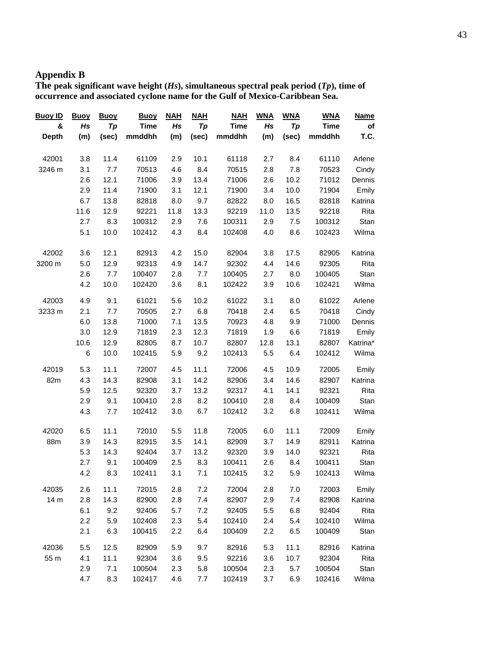# **Appendix B**

The peak significant wave height  $(H_s)$ , simultaneous spectral peak period  $(T_p)$ , time of and associated cyclone name for the Gulf of Mexico-Caribbean Sea. height  $(H$ **occurrence nd associated cyclone name for the Gulf of Mexico-C ibbe**

| Buoy ID         | <b>Buoy</b> | <b>Buoy</b> | <b>Buoy</b> | <b>NAH</b> | <b>NAH</b> | <b>NAH</b> | <b>WNA</b> | <b>WNA</b> | <b>WNA</b>  | <b>Name</b> |
|-----------------|-------------|-------------|-------------|------------|------------|------------|------------|------------|-------------|-------------|
| &               | Hs          | Tp          | <b>Time</b> | Hs         | Tp         | Time       | Hs         | Tp         | <b>Time</b> | of          |
| <b>Depth</b>    | (m)         | (sec)       | mmddhh      | (m)        | (sec)      | mmddhh     | (m)        | (sec)      | mmddhh      | T.C.        |
| 42001           | 3.8         | 11.4        | 61109       | 2.9        | 10.1       | 61118      | 2.7        | 8.4        | 61110       | Arlene      |
| 3246 m          | 3.1         | 7.7         | 70513       | 4.6        | 8.4        | 70515      | 2.8        | 7.8        | 70523       | Cindy       |
|                 | 2.6         | 12.1        | 71006       | 3.9        | 13.4       | 71006      | 2.6        | 10.2       | 71012       | Dennis      |
|                 | 2.9         | 11.4        | 71900       | 3.1        | 12.1       | 71900      | 3.4        | 10.0       | 71904       | Emily       |
|                 | 6.7         | 13.8        | 82818       | 8.0        | 9.7        | 82822      | 8.0        | 16.5       | 82818       | Katrina     |
|                 | 11.6        | 12.9        | 92221       | 11.8       | 13.3       | 92219      | 11.0       | 13.5       | 92218       | Rita        |
|                 | 2.7         | 8.3         | 100312      | 2.9        | 7.6        | 100311     | 2.9        | 7.5        | 100312      | Stan        |
|                 | 5.1         | 10.0        | 102412      | 4.3        | 8.4        | 102408     | 4.0        | 8.6        | 102423      | Wilma       |
| 42002           | 3.6         | 12.1        | 82913       | 4.2        | 15.0       | 82904      | 3.8        | 17.5       | 82905       | Katrina     |
| 3200 m          | 5.0         | 12.9        | 92313       | 4.9        | 14.7       | 92302      | 4.4        | 14.6       | 92305       | Rita        |
|                 | 2.6         | 7.7         | 100407      | 2.8        | 7.7        | 100405     | 2.7        | 8.0        | 100405      | Stan        |
|                 | 4.2         | 10.0        | 102420      | 3.6        | 8.1        | 102422     | 3.9        | 10.6       | 102421      | Wilma       |
| 42003           | 4.9         | 9.1         | 61021       | 5.6        | 10.2       | 61022      | 3.1        | 8.0        | 61022       | Arlene      |
| 3233 m          | 2.1         | 7.7         | 70505       | 2.7        | 6.8        | 70418      | 2.4        | 6.5        | 70418       | Cindy       |
|                 | 6.0         | 13.8        | 71000       | 7.1        | 13.5       | 70923      | 4.8        | 9.9        | 71000       | Dennis      |
|                 | 3.0         | 12.9        | 71819       | 2.3        | 12.3       | 71819      | 1.9        | 6.6        | 71819       | Emily       |
|                 | 10.6        | 12.9        | 82805       | 8.7        | 10.7       | 82807      | 12.8       | 13.1       | 82807       | Katrina*    |
|                 | 6           | 10.0        | 102415      | 5.9        | 9.2        | 102413     | 5.5        | 6.4        | 102412      | Wilma       |
| 42019           | 5.3         | 11.1        | 72007       | 4.5        | 11.1       | 72006      | 4.5        | 10.9       | 72005       | Emily       |
| 82m             | 4.3         | 14.3        | 82908       | 3.1        | 14.2       | 82906      | 3.4        | 14.6       | 82907       | Katrina     |
|                 | 5.9         | 12.5        | 92320       | 3.7        | 13.2       | 92317      | 4.1        | 14.1       | 92321       | Rita        |
|                 | 2.9         | 9.1         | 100410      | 2.8        | 8.2        | 100410     | 2.8        | 8.4        | 100409      | Stan        |
|                 | 4.3         | 7.7         | 102412      | 3.0        | 6.7        | 102412     | 3.2        | 6.8        | 102411      | Wilma       |
| 42020           | 6.5         | 11.1        | 72010       | 5.5        | 11.8       | 72005      | 6.0        | 11.1       | 72009       | Emily       |
| 88m             | 3.9         | 14.3        | 82915       | 3.5        | 14.1       | 82909      | 3.7        | 14.9       | 82911       | Katrina     |
|                 | 5.3         | 14.3        | 92404       | 3.7        | 13.2       | 92320      | 3.9        | 14.0       | 92321       | Rita        |
|                 | 2.7         | 9.1         | 100409      | 2.5        | 8.3        | 100411     | 2.6        | 8.4        | 100411      | Stan        |
|                 | 4.2         | 8.3         | 102411      | 3.1        | 7.1        | 102415     | 3.2        | 5.9        | 102413      | Wilma       |
| 42035           | 2.6         | 11.1        | 72015       | 2.8        | 7.2        | 72004      | 2.8        | 7.0        | 72003       | Emily       |
| 14 <sub>m</sub> | 2.8         | 14.3        | 82900       | 2.8        | 7.4        | 82907      | 2.9        | 7.4        | 82908       | Katrina     |
|                 | 6.1         | 9.2         | 92406       | 5.7        | 7.2        | 92405      | 5.5        | 6.8        | 92404       | Rita        |
|                 | 2.2         | 5.9         | 102408      | 2.3        | 5.4        | 102410     | 2.4        | 5.4        | 102410      | Wilma       |
|                 | 2.1         | 6.3         | 100415      | 2.2        | 6.4        | 100409     | 2.2        | 6.5        | 100409      | Stan        |
| 42036           | 5.5         | 12.5        | 82909       | 5.9        | 9.7        | 82916      | 5.3        | 11.1       | 82916       | Katrina     |
| 55 m            | 4.1         | 11.1        | 92304       | 3.6        | 9.5        | 92216      | 3.6        | 10.7       | 92304       | Rita        |
|                 | 2.9         | 7.1         | 100504      | 2.3        | 5.8        | 100504     | 2.3        | 5.7        | 100504      | Stan        |
|                 | 4.7         | 8.3         | 102417      | 4.6        | 7.7        | 102419     | 3.7        | 6.9        | 102416      | Wilma       |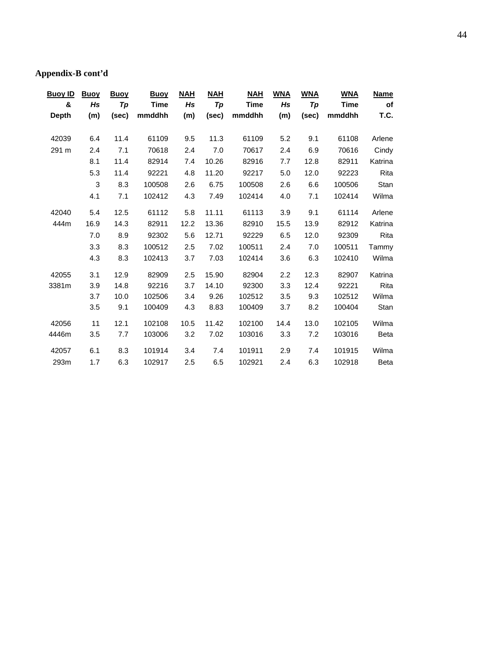# **Appendix-B cont'd**

| <b>Buoy ID</b> | <b>Buoy</b> | <b>Buoy</b> | <b>Buoy</b> | <b>NAH</b> | <b>NAH</b> | <b>NAH</b> | <b>WNA</b> | <b>WNA</b> | <b>WNA</b> | <b>Name</b> |
|----------------|-------------|-------------|-------------|------------|------------|------------|------------|------------|------------|-------------|
| &              | Hs          | Tp          | <b>Time</b> | Hs         | Tp         | Time       | Hs         | Tp         | Time       | of          |
| <b>Depth</b>   | (m)         | (sec)       | mmddhh      | (m)        | (sec)      | mmddhh     | (m)        | (sec)      | mmddhh     | T.C.        |
|                |             |             |             |            |            |            |            |            |            |             |
| 42039          | 6.4         | 11.4        | 61109       | 9.5        | 11.3       | 61109      | 5.2        | 9.1        | 61108      | Arlene      |
| 291 m          | 2.4         | 7.1         | 70618       | 2.4        | 7.0        | 70617      | 2.4        | 6.9        | 70616      | Cindy       |
|                | 8.1         | 11.4        | 82914       | 7.4        | 10.26      | 82916      | 7.7        | 12.8       | 82911      | Katrina     |
|                | 5.3         | 11.4        | 92221       | 4.8        | 11.20      | 92217      | 5.0        | 12.0       | 92223      | Rita        |
|                | 3           | 8.3         | 100508      | 2.6        | 6.75       | 100508     | 2.6        | 6.6        | 100506     | Stan        |
|                | 4.1         | 7.1         | 102412      | 4.3        | 7.49       | 102414     | 4.0        | 7.1        | 102414     | Wilma       |
| 42040          | 5.4         | 12.5        | 61112       | 5.8        | 11.11      | 61113      | 3.9        | 9.1        | 61114      | Arlene      |
| 444m           | 16.9        | 14.3        | 82911       | 12.2       | 13.36      | 82910      | 15.5       | 13.9       | 82912      | Katrina     |
|                | 7.0         | 8.9         | 92302       | 5.6        | 12.71      | 92229      | 6.5        | 12.0       | 92309      | Rita        |
|                | 3.3         | 8.3         | 100512      | 2.5        | 7.02       | 100511     | 2.4        | 7.0        | 100511     | Tammy       |
|                | 4.3         | 8.3         | 102413      | 3.7        | 7.03       | 102414     | 3.6        | 6.3        | 102410     | Wilma       |
| 42055          | 3.1         | 12.9        | 82909       | 2.5        | 15.90      | 82904      | 2.2        | 12.3       | 82907      | Katrina     |
| 3381m          | 3.9         | 14.8        | 92216       | 3.7        | 14.10      | 92300      | 3.3        | 12.4       | 92221      | Rita        |
|                | 3.7         | 10.0        | 102506      | 3.4        | 9.26       | 102512     | 3.5        | 9.3        | 102512     | Wilma       |
|                | 3.5         | 9.1         | 100409      | 4.3        | 8.83       | 100409     | 3.7        | 8.2        | 100404     | Stan        |
| 42056          | 11          | 12.1        | 102108      | 10.5       | 11.42      | 102100     | 14.4       | 13.0       | 102105     | Wilma       |
| 4446m          | 3.5         | 7.7         | 103006      | 3.2        | 7.02       | 103016     | 3.3        | 7.2        | 103016     | <b>Beta</b> |
| 42057          | 6.1         | 8.3         | 101914      | 3.4        | 7.4        | 101911     | 2.9        | 7.4        | 101915     | Wilma       |
| 293m           | 1.7         | 6.3         | 102917      | 2.5        | 6.5        | 102921     | 2.4        | 6.3        | 102918     | <b>Beta</b> |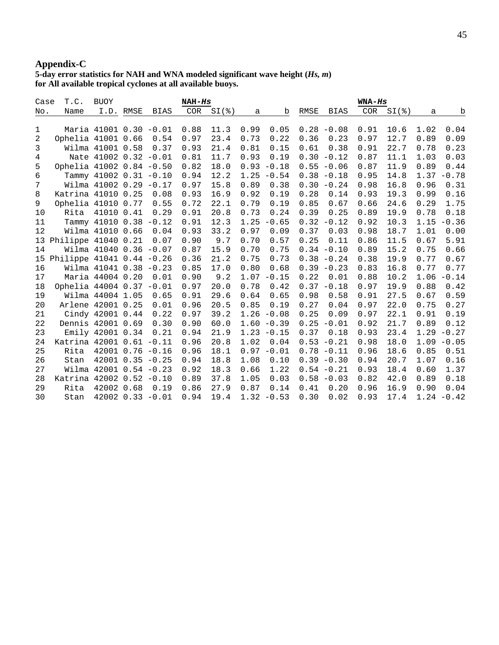### **Appendix-C**

#### 5-day error statistics for NAH and WNA modeled significant wave height (*Hs*, *m*) for All available tropical cyclones at all available buoys. atistics for NAH and WNA modeled significant wave height (*H* **ll** available tropical cyclones at all available buoy

| Case | T.C.                      | <b>BUOY</b>              |           |                    | $NAH-HS$ |      |      |               |      |               | $WNA-HS$ |      |      |               |
|------|---------------------------|--------------------------|-----------|--------------------|----------|------|------|---------------|------|---------------|----------|------|------|---------------|
| No.  | Name                      |                          | I.D. RMSE | BIAS               | COR      | $SI$ | a    | b             | RMSE | <b>BIAS</b>   | COR      | $SI$ | a    | b             |
|      |                           |                          |           |                    |          |      |      |               |      |               |          |      |      |               |
| 1    |                           | Maria 41001 0.30 -0.01   |           |                    | 0.88     | 11.3 | 0.99 | 0.05          |      | $0.28 - 0.08$ | 0.91     | 10.6 | 1.02 | 0.04          |
| 2    | Ophelia 41001 0.66        |                          |           | 0.54               | 0.97     | 23.4 | 0.73 | 0.22          | 0.36 | 0.23          | 0.97     | 12.7 | 0.89 | 0.09          |
| 3    |                           | Wilma 41001 0.58         |           | 0.37               | 0.93     | 21.4 | 0.81 | 0.15          | 0.61 | 0.38          | 0.91     | 22.7 | 0.78 | 0.23          |
| 4    |                           | Nate 41002 0.32 -0.01    |           |                    | 0.81     | 11.7 | 0.93 | 0.19          | 0.30 | $-0.12$       | 0.87     | 11.1 | 1.03 | 0.03          |
| 5    | Ophelia 41002 0.84 -0.50  |                          |           |                    | 0.82     | 18.0 | 0.93 | $-0.18$       |      | $0.55 - 0.06$ | 0.87     | 11.9 | 0.89 | 0.44          |
| 6    |                           | Tammy $41002$ 0.31 -0.10 |           |                    | 0.94     | 12.2 |      | $1.25 - 0.54$ |      | $0.38 - 0.18$ | 0.95     | 14.8 |      | $1.37 - 0.78$ |
| 7    |                           | Wilma 41002 0.29 -0.17   |           |                    | 0.97     | 15.8 | 0.89 | 0.38          |      | $0.30 - 0.24$ | 0.98     | 16.8 | 0.96 | 0.31          |
| 8    | Katrina 41010 0.25        |                          |           | 0.08               | 0.93     | 16.9 | 0.92 | 0.19          | 0.28 | 0.14          | 0.93     | 19.3 | 0.99 | 0.16          |
| 9    | Ophelia 41010 0.77        |                          |           | 0.55               | 0.72     | 22.1 | 0.79 | 0.19          | 0.85 | 0.67          | 0.66     | 24.6 | 0.29 | 1.75          |
| 10   | Rita                      | 41010 0.41               |           | 0.29               | 0.91     | 20.8 | 0.73 | 0.24          | 0.39 | 0.25          | 0.89     | 19.9 | 0.78 | 0.18          |
| 11   |                           | Tammy 41010 0.38 -0.12   |           |                    | 0.91     | 12.3 | 1.25 | $-0.65$       | 0.32 | $-0.12$       | 0.92     | 10.3 | 1.15 | $-0.36$       |
| 12   |                           | Wilma 41010 0.66         |           | 0.04               | 0.93     | 33.2 | 0.97 | 0.09          | 0.37 | 0.03          | 0.98     | 18.7 | 1.01 | 0.00          |
| 13   | Philippe 41040 0.21       |                          |           | 0.07               | 0.90     | 9.7  | 0.70 | 0.57          | 0.25 | 0.11          | 0.86     | 11.5 | 0.67 | 5.91          |
| 14   |                           | Wilma 41040 0.36 -0.07   |           |                    | 0.87     | 15.9 | 0.70 | 0.75          |      | $0.34 - 0.10$ | 0.89     | 15.2 | 0.75 | 0.66          |
| 15   | Philippe 41041 0.44 -0.26 |                          |           |                    | 0.36     | 21.2 | 0.75 | 0.73          |      | $0.38 - 0.24$ | 0.38     | 19.9 | 0.77 | 0.67          |
| 16   |                           | Wilma 41041 0.38 -0.23   |           |                    | 0.85     | 17.0 | 0.80 | 0.68          |      | $0.39 - 0.23$ | 0.83     | 16.8 | 0.77 | 0.77          |
| 17   |                           | Maria 44004 0.20         |           | 0.01               | 0.90     | 9.2  | 1.07 | $-0.15$       | 0.22 | 0.01          | 0.88     | 10.2 | 1.06 | $-0.14$       |
| 18   | Ophelia 44004 0.37 -0.01  |                          |           |                    | 0.97     | 20.0 | 0.78 | 0.42          | 0.37 | $-0.18$       | 0.97     | 19.9 | 0.88 | 0.42          |
| 19   |                           | Wilma 44004 1.05         |           | 0.65               | 0.91     | 29.6 | 0.64 | 0.65          | 0.98 | 0.58          | 0.91     | 27.5 | 0.67 | 0.59          |
| 20   | Arlene 42001 0.25         |                          |           | 0.01               | 0.96     | 20.5 | 0.85 | 0.19          | 0.27 | 0.04          | 0.97     | 22.0 | 0.75 | 0.27          |
| 21   |                           | Cindy 42001 0.44         |           | 0.22               | 0.97     | 39.2 |      | $1.26 - 0.08$ | 0.25 | 0.09          | 0.97     | 22.1 | 0.91 | 0.19          |
| 22   | Dennis 42001 0.69         |                          |           | 0.30               | 0.90     | 60.0 |      | $1.60 - 0.39$ | 0.25 | $-0.01$       | 0.92     | 21.7 | 0.89 | 0.12          |
| 23   |                           | Emily 42001 0.34         |           | 0.21               | 0.94     | 21.9 |      | $1.23 - 0.15$ | 0.37 | 0.18          | 0.93     | 23.4 | 1.29 | $-0.27$       |
| 24   | Katrina 42001 0.61 -0.11  |                          |           |                    | 0.96     | 20.8 | 1.02 | 0.04          | 0.53 | $-0.21$       | 0.98     | 18.0 | 1.09 | $-0.05$       |
| 25   | Rita                      | $42001$ 0.76 $-0.16$     |           |                    | 0.96     | 18.1 | 0.97 | $-0.01$       |      | $0.78 - 0.11$ | 0.96     | 18.6 | 0.85 | 0.51          |
| 26   | Stan                      |                          |           | $42001$ 0.35 -0.25 | 0.94     | 18.8 | 1.08 | 0.10          |      | $0.39 - 0.30$ | 0.94     | 20.7 | 1.07 | 0.16          |
| 27   |                           | Wilma 42001 0.54 -0.23   |           |                    | 0.92     | 18.3 | 0.66 | 1.22          |      | $0.54 - 0.21$ | 0.93     | 18.4 | 0.60 | 1.37          |
| 28   | Katrina 42002 0.52 -0.10  |                          |           |                    | 0.89     | 37.8 | 1.05 | 0.03          |      | $0.58 - 0.03$ | 0.82     | 42.0 | 0.89 | 0.18          |
| 29   | Rita                      | 42002 0.68               |           | 0.19               | 0.86     | 27.9 | 0.87 | 0.14          | 0.41 | 0.20          | 0.96     | 16.9 | 0.90 | 0.04          |
| 30   | Stan                      | $42002$ 0.33 -0.01       |           |                    | 0.94     | 19.4 |      | $1.32 - 0.53$ | 0.30 | 0.02          | 0.93     | 17.4 |      | $1.24 - 0.42$ |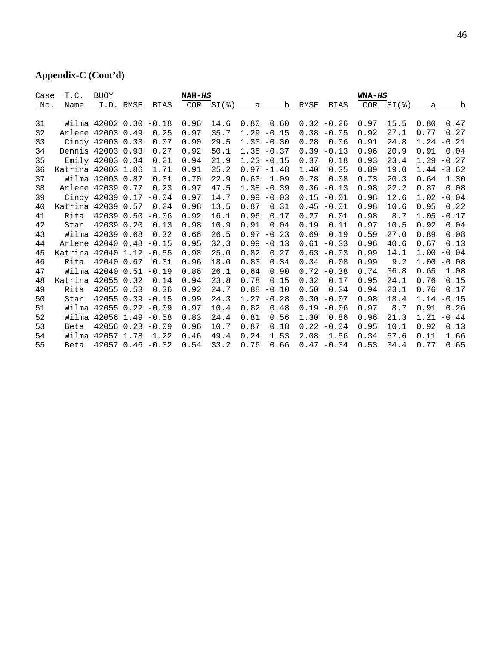# **Appendix-C (Cont'd)**

| Case | T.C.                     | <b>BUOY</b>            |           |             | NAH-HS     |              |      |               |      |               | WNA-HS     |      |      |               |
|------|--------------------------|------------------------|-----------|-------------|------------|--------------|------|---------------|------|---------------|------------|------|------|---------------|
| No.  | Name                     |                        | I.D. RMSE | <b>BIAS</b> | <b>COR</b> | $SI$ $($ $)$ | a    | b             | RMSE | <b>BIAS</b>   | <b>COR</b> | $SI$ | a    | b             |
|      |                          |                        |           |             |            |              |      |               |      |               |            |      |      |               |
| 31   |                          | Wilma 42002 0.30 -0.18 |           |             | 0.96       | 14.6         | 0.80 | 0.60          |      | $0.32 - 0.26$ | 0.97       | 15.5 | 0.80 | 0.47          |
| 32   | Arlene 42003 0.49        |                        |           | 0.25        | 0.97       | 35.7         | 1.29 | $-0.15$       | 0.38 | $-0.05$       | 0.92       | 27.1 | 0.77 | 0.27          |
| 33   |                          | Cindy 42003 0.33       |           | 0.07        | 0.90       | 29.5         |      | $1.33 - 0.30$ | 0.28 | 0.06          | 0.91       | 24.8 | 1.24 | $-0.21$       |
| 34   | Dennis 42003 0.93        |                        |           | 0.27        | 0.92       | 50.1         |      | $1.35 - 0.37$ | 0.39 | $-0.13$       | 0.96       | 20.9 | 0.91 | 0.04          |
| 35   |                          | Emily 42003 0.34       |           | 0.21        | 0.94       | 21.9         |      | $1.23 - 0.15$ | 0.37 | 0.18          | 0.93       | 23.4 | 1.29 | $-0.27$       |
| 36   | Katrina 42003 1.86       |                        |           | 1.71        | 0.91       | 25.2         |      | $0.97 - 1.48$ | 1.40 | 0.35          | 0.89       | 19.0 |      | $1.44 - 3.62$ |
| 37   |                          | Wilma 42003 0.87       |           | 0.31        | 0.70       | 22.9         | 0.63 | 1.09          | 0.78 | 0.08          | 0.73       | 20.3 | 0.64 | 1.30          |
| 38   | Arlene 42039             |                        | 0.77      | 0.23        | 0.97       | 47.5         | 1.38 | $-0.39$       | 0.36 | $-0.13$       | 0.98       | 22.2 | 0.87 | 0.08          |
| 39   |                          | Cindy 42039 0.17       |           | $-0.04$     | 0.97       | 14.7         | 0.99 | $-0.03$       | 0.15 | $-0.01$       | 0.98       | 12.6 | 1.02 | $-0.04$       |
| 40   | Katrina 42039 0.57       |                        |           | 0.24        | 0.98       | 13.5         | 0.87 | 0.31          | 0.45 | $-0.01$       | 0.98       | 10.6 | 0.95 | 0.22          |
| 41   | Rita                     | 42039                  | 0.50      | $-0.06$     | 0.92       | 16.1         | 0.96 | 0.17          | 0.27 | 0.01          | 0.98       | 8.7  | 1.05 | $-0.17$       |
| 42   | Stan                     | 42039                  | 0.20      | 0.13        | 0.98       | 10.9         | 0.91 | 0.04          | 0.19 | 0.11          | 0.97       | 10.5 | 0.92 | 0.04          |
| 43   |                          | Wilma 42039            | 0.68      | 0.32        | 0.66       | 26.5         | 0.97 | $-0.23$       | 0.69 | 0.19          | 0.59       | 27.0 | 0.89 | 0.08          |
| 44   | Arlene 42040 0.48        |                        |           | $-0.15$     | 0.95       | 32.3         | 0.99 | $-0.13$       | 0.61 | $-0.33$       | 0.96       | 40.6 | 0.67 | 0.13          |
| 45   | Katrina 42040 1.12 -0.55 |                        |           |             | 0.98       | 25.0         | 0.82 | 0.27          | 0.63 | $-0.03$       | 0.99       | 14.1 | 1.00 | $-0.04$       |
| 46   | Rita                     | 42040                  | 0.67      | 0.31        | 0.96       | 18.0         | 0.83 | 0.34          | 0.34 | 0.08          | 0.99       | 9.2  | 1.00 | $-0.08$       |
| 47   |                          | Wilma 42040 0.51       |           | $-0.19$     | 0.86       | 26.1         | 0.64 | 0.90          | 0.72 | $-0.38$       | 0.74       | 36.8 | 0.65 | 1.08          |
| 48   | Katrina 42055 0.32       |                        |           | 0.14        | 0.94       | 23.8         | 0.78 | 0.15          | 0.32 | 0.17          | 0.95       | 24.1 | 0.76 | 0.15          |
| 49   | Rita                     | 42055                  | 0.53      | 0.36        | 0.92       | 24.7         | 0.88 | $-0.10$       | 0.50 | 0.34          | 0.94       | 23.1 | 0.76 | 0.17          |
| 50   | Stan                     | 42055 0.39             |           | $-0.15$     | 0.99       | 24.3         | 1.27 | $-0.28$       | 0.30 | $-0.07$       | 0.98       | 18.4 | 1.14 | $-0.15$       |
| 51   |                          | Wilma 42055 0.22 -0.09 |           |             | 0.97       | 10.4         | 0.82 | 0.48          | 0.19 | $-0.06$       | 0.97       | 8.7  | 0.91 | 0.26          |
| 52   |                          | Wilma 42056 1.49 -0.58 |           |             | 0.83       | 24.4         | 0.81 | 0.56          | 1.30 | 0.86          | 0.96       | 21.3 | 1.21 | $-0.44$       |
| 53   | Beta                     | $42056$ 0.23 $-0.09$   |           |             | 0.96       | 10.7         | 0.87 | 0.18          | 0.22 | $-0.04$       | 0.95       | 10.1 | 0.92 | 0.13          |
| 54   |                          | Wilma 42057 1.78       |           | 1.22        | 0.46       | 49.4         | 0.24 | 1.53          | 2.08 | 1.56          | 0.34       | 57.6 | 0.11 | 1.66          |
| 55   | Beta                     | $42057$ 0.46 -0.32     |           |             | 0.54       | 33.2         | 0.76 | 0.66          | 0.47 | $-0.34$       | 0.53       | 34.4 | 0.77 | 0.65          |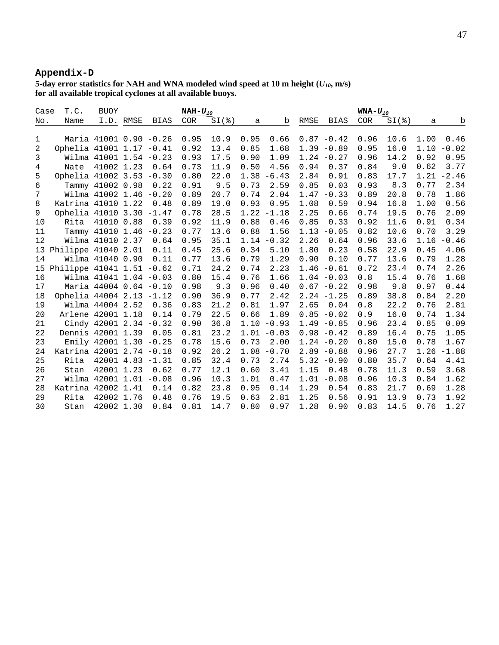# **Appendix-D**

**5-day error statistics for NAH and WNA modeled wind speed at 10 m height (***U10***, m/s) for all available tropical cyclones at all available buoys.** 

| T.C.<br><b>BUOY</b><br>Case<br>NAH $-U_{10}$ |                           |                        |           |      |            | $WNA-U_{10}$ |      |               |      |               |            |      |      |         |
|----------------------------------------------|---------------------------|------------------------|-----------|------|------------|--------------|------|---------------|------|---------------|------------|------|------|---------|
| No.                                          | Name                      |                        | I.D. RMSE | BIAS | <b>COR</b> | $SI$ (%)     | a    | b             | RMSE | BIAS          | <b>COR</b> | $SI$ | a    | b       |
|                                              |                           |                        |           |      |            |              |      |               |      |               |            |      |      |         |
| 1                                            |                           | Maria 41001 0.90 -0.26 |           |      | 0.95       | 10.9         | 0.95 | 0.66          |      | $0.87 - 0.42$ | 0.96       | 10.6 | 1.00 | 0.46    |
| 2                                            | Ophelia 41001 1.17 -0.41  |                        |           |      | 0.92       | 13.4         | 0.85 | 1.68          |      | $1.39 - 0.89$ | 0.95       | 16.0 | 1.10 | $-0.02$ |
| 3                                            |                           | Wilma 41001 1.54 -0.23 |           |      | 0.93       | 17.5         | 0.90 | 1.09          |      | $1.24 - 0.27$ | 0.96       | 14.2 | 0.92 | 0.95    |
| 4                                            | Nate                      | 41002 1.23             |           | 0.64 | 0.73       | 11.9         | 0.50 | 4.56          | 0.94 | 0.37          | 0.84       | 9.0  | 0.62 | 3.77    |
| 5                                            | Ophelia 41002 3.53 -0.30  |                        |           |      | 0.80       | 22.0         | 1.38 | $-6.43$       | 2.84 | 0.91          | 0.83       | 17.7 | 1.21 | $-2.46$ |
| 6                                            |                           | Tammy 41002 0.98       |           | 0.22 | 0.91       | 9.5          | 0.73 | 2.59          | 0.85 | 0.03          | 0.93       | 8.3  | 0.77 | 2.34    |
| 7                                            |                           | Wilma 41002 1.46 -0.20 |           |      | 0.89       | 20.7         | 0.74 | 2.04          | 1.47 | $-0.33$       | 0.89       | 20.8 | 0.78 | 1.86    |
| 8                                            | Katrina 41010 1.22        |                        |           | 0.48 | 0.89       | 19.0         | 0.93 | 0.95          | 1.08 | 0.59          | 0.94       | 16.8 | 1.00 | 0.56    |
| 9                                            | Ophelia 41010 3.30 -1.47  |                        |           |      | 0.78       | 28.5         | 1.22 | $-1.18$       | 2.25 | 0.66          | 0.74       | 19.5 | 0.76 | 2.09    |
| 10                                           | Rita                      | 41010 0.88             |           | 0.39 | 0.92       | 11.9         | 0.88 | 0.46          | 0.85 | 0.33          | 0.92       | 11.6 | 0.91 | 0.34    |
| 11                                           |                           | Tammy 41010 1.46 -0.23 |           |      | 0.77       | 13.6         | 0.88 | 1.56          | 1.13 | $-0.05$       | 0.82       | 10.6 | 0.70 | 3.29    |
| 12                                           |                           | Wilma 41010 2.37       |           | 0.64 | 0.95       | 35.1         | 1.14 | $-0.32$       | 2.26 | 0.64          | 0.96       | 33.6 | 1.16 | $-0.46$ |
| 13                                           | Philippe 41040 2.01       |                        |           | 0.11 | 0.45       | 25.6         | 0.34 | 5.10          | 1.80 | 0.23          | 0.58       | 22.9 | 0.45 | 4.06    |
| 14                                           |                           | Wilma 41040 0.90       |           | 0.11 | 0.77       | 13.6         | 0.79 | 1.29          | 0.90 | 0.10          | 0.77       | 13.6 | 0.79 | 1.28    |
| 15                                           | Philippe 41041 1.51 -0.62 |                        |           |      | 0.71       | 24.2         | 0.74 | 2.23          |      | $1.46 - 0.61$ | 0.72       | 23.4 | 0.74 | 2.26    |
| 16                                           |                           | Wilma 41041 1.04 -0.03 |           |      | 0.80       | 15.4         | 0.76 | 1.66          |      | $1.04 - 0.03$ | 0.8        | 15.4 | 0.76 | 1.68    |
| 17                                           |                           | Maria 44004 0.64 -0.10 |           |      | 0.98       | 9.3          | 0.96 | 0.40          |      | $0.67 - 0.22$ | 0.98       | 9.8  | 0.97 | 0.44    |
| 18                                           | Ophelia 44004 2.13 -1.12  |                        |           |      | 0.90       | 36.9         | 0.77 | 2.42          |      | $2.24 - 1.25$ | 0.89       | 38.8 | 0.84 | 2.20    |
| 19                                           |                           | Wilma 44004 2.52       |           | 0.36 | 0.83       | 21.2         | 0.81 | 1.97          | 2.65 | 0.04          | 0.8        | 22.2 | 0.76 | 2.81    |
| 20                                           | Arlene 42001 1.18         |                        |           | 0.14 | 0.79       | 22.5         | 0.66 | 1.89          | 0.85 | $-0.02$       | 0.9        | 16.0 | 0.74 | 1.34    |
| 21                                           |                           | Cindy 42001 2.34 -0.32 |           |      | 0.90       | 36.8         | 1.10 | $-0.93$       |      | $1.49 - 0.85$ | 0.96       | 23.4 | 0.85 | 0.09    |
| 22                                           | Dennis 42001 1.39         |                        |           | 0.05 | 0.81       | 23.2         |      | $1.01 - 0.03$ |      | $0.98 - 0.42$ | 0.89       | 16.4 | 0.75 | 1.05    |
| 23                                           |                           | Emily 42001 1.30 -0.25 |           |      | 0.78       | 15.6         | 0.73 | 2.00          |      | $1.24 - 0.20$ | 0.80       | 15.0 | 0.78 | 1.67    |
| 24                                           | Katrina 42001 2.74 -0.18  |                        |           |      | 0.92       | 26.2         | 1.08 | $-0.70$       |      | $2.89 - 0.88$ | 0.96       | 27.7 | 1.26 | $-1.88$ |
| 25                                           | Rita                      | $42001$ $4.83$ $-1.31$ |           |      | 0.85       | 32.4         | 0.73 | 2.74          |      | $5.32 - 0.90$ | 0.80       | 35.7 | 0.64 | 4.41    |
| 26                                           | Stan                      | 42001 1.23             |           | 0.62 | 0.77       | 12.1         | 0.60 | 3.41          | 1.15 | 0.48          | 0.78       | 11.3 | 0.59 | 3.68    |
| 27                                           |                           | Wilma 42001 1.01 -0.08 |           |      | 0.96       | 10.3         | 1.01 | 0.47          | 1.01 | $-0.08$       | 0.96       | 10.3 | 0.84 | 1.62    |
| 28                                           | Katrina 42002 1.41        |                        |           | 0.14 | 0.82       | 23.8         | 0.95 | 0.14          | 1.29 | 0.54          | 0.83       | 21.7 | 0.69 | 1.28    |
| 29                                           | Rita                      | 42002 1.76             |           | 0.48 | 0.76       | 19.5         | 0.63 | 2.81          | 1.25 | 0.56          | 0.91       | 13.9 | 0.73 | 1.92    |
| 30                                           | Stan                      | 42002 1.30             |           | 0.84 | 0.81       | 14.7         | 0.80 | 0.97          | 1.28 | 0.90          | 0.83       | 14.5 | 0.76 | 1.27    |